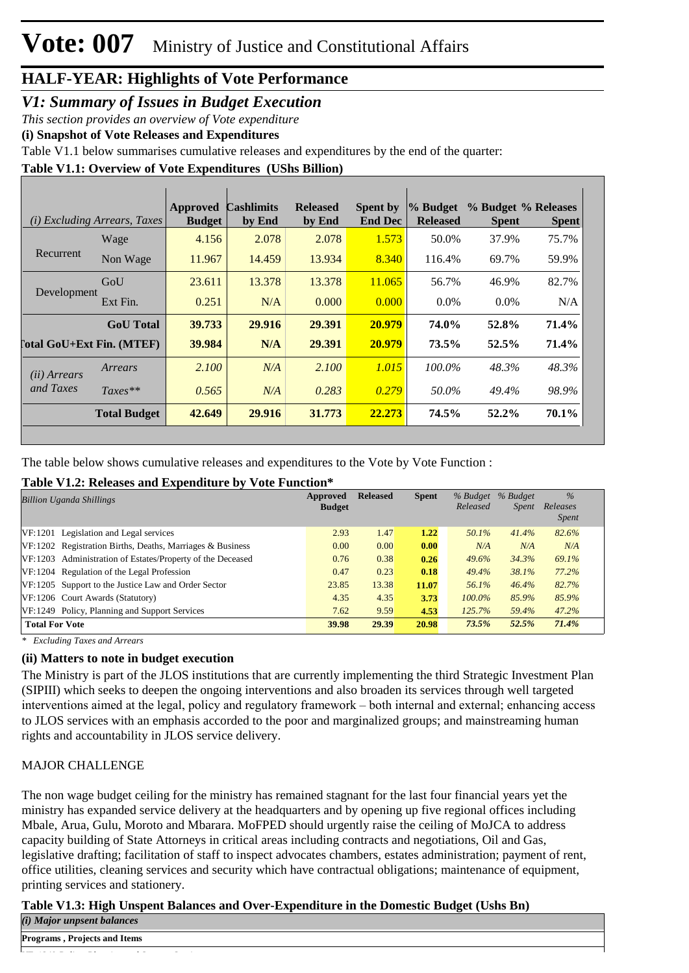#### *V1: Summary of Issues in Budget Execution*

*This section provides an overview of Vote expenditure* 

**(i) Snapshot of Vote Releases and Expenditures**

Table V1.1 below summarises cumulative releases and expenditures by the end of the quarter:

**Table V1.1: Overview of Vote Expenditures (UShs Billion)**

|                                  | (i) Excluding Arrears, Taxes | <b>Approved</b><br><b>Budget</b> | <b>Cashlimits</b><br>by End | <b>Released</b><br>by End | Spent by<br><b>End Dec</b> | % Budget<br><b>Released</b> | % Budget % Releases<br><b>Spent</b> | <b>Spent</b> |
|----------------------------------|------------------------------|----------------------------------|-----------------------------|---------------------------|----------------------------|-----------------------------|-------------------------------------|--------------|
|                                  | Wage                         | 4.156                            | 2.078                       | 2.078                     | 1.573                      | 50.0%                       | 37.9%                               | 75.7%        |
| Recurrent                        | Non Wage                     | 11.967                           | 14.459                      | 13.934                    | 8.340                      | 116.4%                      | 69.7%                               | 59.9%        |
|                                  | GoU                          | 23.611                           | 13.378                      | 13.378                    | 11.065                     | 56.7%                       | 46.9%                               | 82.7%        |
| Development                      | Ext Fin.                     | 0.251                            | N/A                         | 0.000                     | 0.000                      | $0.0\%$                     | $0.0\%$                             | N/A          |
|                                  | <b>GoU</b> Total             | 39.733                           | 29.916                      | 29.391                    | 20.979                     | 74.0%                       | 52.8%                               | 71.4%        |
| <b>Total GoU+Ext Fin. (MTEF)</b> |                              | 39.984                           | N/A                         | 29.391                    | 20.979                     | 73.5%                       | 52.5%                               | 71.4%        |
| (ii) Arrears                     | Arrears                      | 2.100                            | N/A                         | 2.100                     | 1.015                      | 100.0%                      | 48.3%                               | 48.3%        |
| and Taxes                        | $Taxes**$                    | 0.565                            | N/A                         | 0.283                     | 0.279                      | 50.0%                       | 49.4%                               | 98.9%        |
|                                  | <b>Total Budget</b>          | 42.649                           | 29.916                      | 31.773                    | 22.273                     | 74.5%                       | $52.2\%$                            | 70.1%        |

The table below shows cumulative releases and expenditures to the Vote by Vote Function :

#### **Table V1.2: Releases and Expenditure by Vote Function\***

| <b>Billion Uganda Shillings</b>                            | Approved<br><b>Budget</b> | <b>Released</b> | <b>Spent</b> | % Budget<br>Released | % Budget<br>Spent | $\frac{0}{6}$<br>Releases<br><i>Spent</i> |
|------------------------------------------------------------|---------------------------|-----------------|--------------|----------------------|-------------------|-------------------------------------------|
| VF:1201 Legislation and Legal services                     | 2.93                      | 1.47            | 1.22         | 50.1%                | 41.4%             | 82.6%                                     |
| VF:1202 Registration Births, Deaths, Marriages & Business  | 0.00                      | 0.00            | 0.00         | N/A                  | N/A               | N/A                                       |
| VF:1203 Administration of Estates/Property of the Deceased | 0.76                      | 0.38            | 0.26         | $49.6\%$             | 34.3%             | 69.1%                                     |
| VF:1204 Regulation of the Legal Profession                 | 0.47                      | 0.23            | 0.18         | 49.4%                | 38.1%             | 77.2%                                     |
| VF:1205 Support to the Justice Law and Order Sector        | 23.85                     | 13.38           | 11.07        | 56.1%                | 46.4%             | 82.7%                                     |
| VF:1206 Court Awards (Statutory)                           | 4.35                      | 4.35            | 3.73         | $100.0\%$            | 85.9%             | 85.9%                                     |
| VF:1249 Policy, Planning and Support Services              | 7.62                      | 9.59            | 4.53         | 125.7%               | 59.4%             | 47.2%                                     |
| <b>Total For Vote</b>                                      | 39.98                     | 29.39           | 20.98        | 73.5%                | 52.5%             | 71.4%                                     |

*\* Excluding Taxes and Arrears*

#### **(ii) Matters to note in budget execution**

The Ministry is part of the JLOS institutions that are currently implementing the third Strategic Investment Plan (SIPIII) which seeks to deepen the ongoing interventions and also broaden its services through well targeted interventions aimed at the legal, policy and regulatory framework – both internal and external; enhancing access to JLOS services with an emphasis accorded to the poor and marginalized groups; and mainstreaming human rights and accountability in JLOS service delivery.

#### MAJOR CHALLENGE

The non wage budget ceiling for the ministry has remained stagnant for the last four financial years yet the ministry has expanded service delivery at the headquarters and by opening up five regional offices including Mbale, Arua, Gulu, Moroto and Mbarara. MoFPED should urgently raise the ceiling of MoJCA to address capacity building of State Attorneys in critical areas including contracts and negotiations, Oil and Gas, legislative drafting; facilitation of staff to inspect advocates chambers, estates administration; payment of rent, office utilities, cleaning services and security which have contractual obligations; maintenance of equipment, printing services and stationery.

#### **Table V1.3: High Unspent Balances and Over-Expenditure in the Domestic Budget (Ushs Bn)**

*(i) Major unpsent balances*

**Programs , Projects and Items**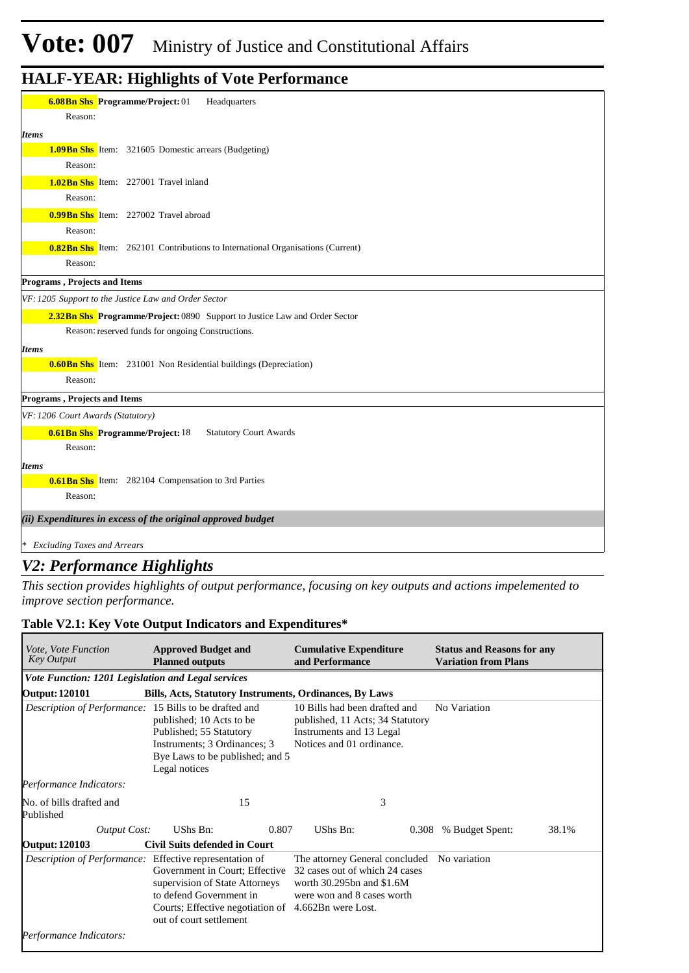| <b>6.08Bn Shs</b> Programme/Project: 01<br>Headquarters                               |
|---------------------------------------------------------------------------------------|
| Reason:                                                                               |
| Items                                                                                 |
| 1.09 Bn Shs Item: 321605 Domestic arrears (Budgeting)                                 |
| Reason:                                                                               |
| <b>1.02Bn Shs</b> Item: 227001 Travel inland                                          |
| Reason:                                                                               |
| <b>0.99Bn Shs</b> Item: 227002 Travel abroad                                          |
| Reason:                                                                               |
| <b>0.82Bn Shs</b> Item: 262101 Contributions to International Organisations (Current) |
| Reason:                                                                               |
| Programs, Projects and Items                                                          |
| VF: 1205 Support to the Justice Law and Order Sector                                  |
| 2.32Bn Shs Programme/Project: 0890 Support to Justice Law and Order Sector            |
| Reason: reserved funds for ongoing Constructions.                                     |
| <b>Items</b>                                                                          |
| <b>0.60 Bn Shs</b> Item: 231001 Non Residential buildings (Depreciation)              |
| Reason:                                                                               |
| Programs, Projects and Items                                                          |
| VF: 1206 Court Awards (Statutory)                                                     |
| <b>0.61Bn Shs</b> Programme/Project: 18<br><b>Statutory Court Awards</b>              |
| Reason:                                                                               |
| <b>Items</b>                                                                          |
| <b>0.61 Bn Shs</b> Item: 282104 Compensation to 3rd Parties                           |
| Reason:                                                                               |
| (ii) Expenditures in excess of the original approved budget                           |
| * Excluding Taxes and Arrears                                                         |
|                                                                                       |

#### *V2: Performance Highlights*

*This section provides highlights of output performance, focusing on key outputs and actions impelemented to improve section performance.*

#### **Table V2.1: Key Vote Output Indicators and Expenditures\***

| <i>Vote, Vote Function</i><br><b>Key Output</b>         | <b>Approved Budget and</b><br><b>Planned outputs</b>                                                                                                                          | <b>Cumulative Expenditure</b><br>and Performance                                                                            | <b>Status and Reasons for any</b><br><b>Variation from Plans</b> |
|---------------------------------------------------------|-------------------------------------------------------------------------------------------------------------------------------------------------------------------------------|-----------------------------------------------------------------------------------------------------------------------------|------------------------------------------------------------------|
| Vote Function: 1201 Legislation and Legal services      |                                                                                                                                                                               |                                                                                                                             |                                                                  |
| <b>Output: 120101</b>                                   | Bills, Acts, Statutory Instruments, Ordinances, By Laws                                                                                                                       |                                                                                                                             |                                                                  |
| Description of Performance: 15 Bills to be drafted and  | published; 10 Acts to be<br>Published; 55 Statutory<br>Instruments; 3 Ordinances; 3<br>Bye Laws to be published; and 5<br>Legal notices                                       | 10 Bills had been drafted and<br>published, 11 Acts; 34 Statutory<br>Instruments and 13 Legal<br>Notices and 01 ordinance.  | No Variation                                                     |
| Performance Indicators:                                 |                                                                                                                                                                               |                                                                                                                             |                                                                  |
| No. of bills drafted and<br>Published                   | 15                                                                                                                                                                            | 3                                                                                                                           |                                                                  |
| <b>Output Cost:</b>                                     | UShs Bn:<br>0.807                                                                                                                                                             | UShs Bn:<br>0.308                                                                                                           | % Budget Spent:<br>38.1%                                         |
| <b>Output: 120103</b>                                   | <b>Civil Suits defended in Court</b>                                                                                                                                          |                                                                                                                             |                                                                  |
| Description of Performance: Effective representation of | Government in Court; Effective<br>supervision of State Attorneys<br>to defend Government in<br>Courts; Effective negotiation of 4.662Bn were Lost.<br>out of court settlement | The attorney General concluded<br>32 cases out of which 24 cases<br>worth 30.295bn and \$1.6M<br>were won and 8 cases worth | No variation                                                     |
| Performance Indicators:                                 |                                                                                                                                                                               |                                                                                                                             |                                                                  |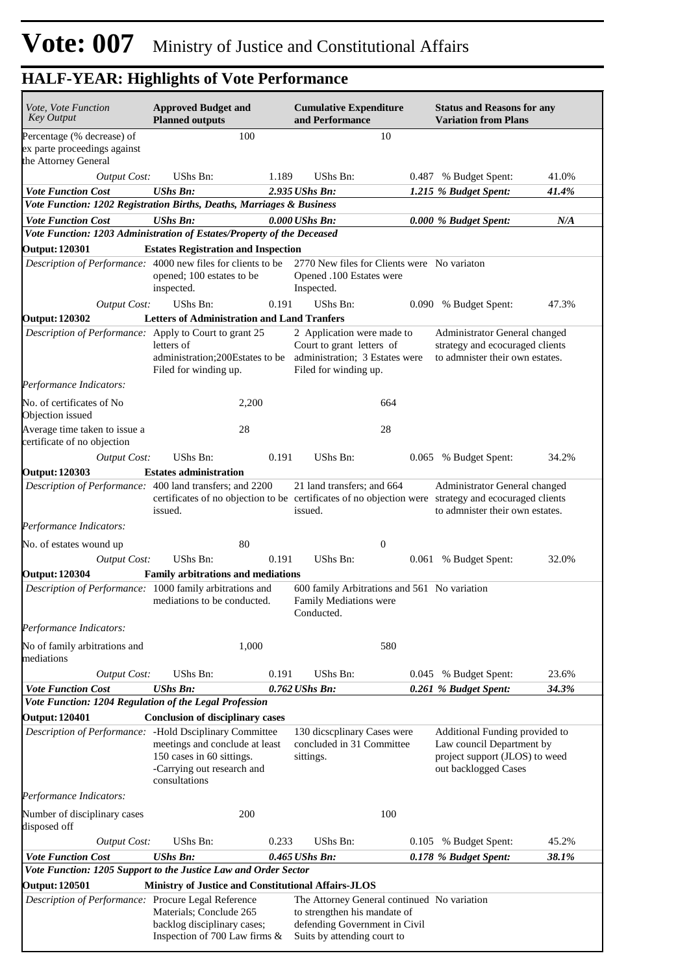| <i>Vote, Vote Function</i><br><b>Key Output</b>                                                    | <b>Approved Budget and</b><br><b>Planned outputs</b>                                                       |       | <b>Cumulative Expenditure</b><br>and Performance                                                                   |                  | <b>Status and Reasons for any</b><br><b>Variation from Plans</b>                                                                                                         |       |
|----------------------------------------------------------------------------------------------------|------------------------------------------------------------------------------------------------------------|-------|--------------------------------------------------------------------------------------------------------------------|------------------|--------------------------------------------------------------------------------------------------------------------------------------------------------------------------|-------|
| Percentage (% decrease) of<br>ex parte proceedings against<br>the Attorney General                 |                                                                                                            | 100   |                                                                                                                    | 10               |                                                                                                                                                                          |       |
| <b>Output Cost:</b>                                                                                | UShs Bn:                                                                                                   | 1.189 | UShs Bn:                                                                                                           |                  | 0.487 % Budget Spent:                                                                                                                                                    | 41.0% |
| <b>Vote Function Cost</b><br>Vote Function: 1202 Registration Births, Deaths, Marriages & Business | <b>UShs Bn:</b>                                                                                            |       | 2.935 UShs Bn:                                                                                                     |                  | 1.215 % Budget Spent:                                                                                                                                                    | 41.4% |
| <b>Vote Function Cost</b>                                                                          | <b>UShs Bn:</b>                                                                                            |       | 0.000 UShs Bn:                                                                                                     |                  | 0.000 % Budget Spent:                                                                                                                                                    | N/A   |
| Vote Function: 1203 Administration of Estates/Property of the Deceased                             |                                                                                                            |       |                                                                                                                    |                  |                                                                                                                                                                          |       |
| <b>Output: 120301</b>                                                                              | <b>Estates Registration and Inspection</b>                                                                 |       |                                                                                                                    |                  |                                                                                                                                                                          |       |
| Description of Performance: 4000 new files for clients to be                                       | opened; 100 estates to be<br>inspected.                                                                    |       | 2770 New files for Clients were No variaton<br>Opened .100 Estates were<br>Inspected.                              |                  |                                                                                                                                                                          |       |
| <b>Output Cost:</b>                                                                                | <b>UShs Bn:</b>                                                                                            | 0.191 | UShs Bn:                                                                                                           |                  | % Budget Spent:<br>0.090                                                                                                                                                 | 47.3% |
| <b>Output: 120302</b>                                                                              | <b>Letters of Administration and Land Tranfers</b>                                                         |       |                                                                                                                    |                  |                                                                                                                                                                          |       |
| Description of Performance: Apply to Court to grant 25                                             | letters of<br>administration;200Estates to be<br>Filed for winding up.                                     |       | 2 Application were made to<br>Court to grant letters of<br>administration; 3 Estates were<br>Filed for winding up. |                  | Administrator General changed<br>strategy and ecocuraged clients<br>to admnister their own estates.                                                                      |       |
| Performance Indicators:                                                                            |                                                                                                            |       |                                                                                                                    |                  |                                                                                                                                                                          |       |
| No. of certificates of No<br>Objection issued                                                      |                                                                                                            | 2,200 |                                                                                                                    | 664              |                                                                                                                                                                          |       |
| Average time taken to issue a<br>certificate of no objection                                       |                                                                                                            | 28    |                                                                                                                    | 28               |                                                                                                                                                                          |       |
| <b>Output Cost:</b>                                                                                | UShs Bn:                                                                                                   | 0.191 | UShs Bn:                                                                                                           |                  | % Budget Spent:<br>0.065                                                                                                                                                 | 34.2% |
| <b>Output: 120303</b>                                                                              | <b>Estates administration</b>                                                                              |       |                                                                                                                    |                  |                                                                                                                                                                          |       |
| Description of Performance: 400 land transfers; and 2200                                           | issued.                                                                                                    |       | 21 land transfers; and 664<br>issued.                                                                              |                  | Administrator General changed<br>certificates of no objection to be certificates of no objection were strategy and ecocuraged clients<br>to admnister their own estates. |       |
| Performance Indicators:                                                                            |                                                                                                            |       |                                                                                                                    |                  |                                                                                                                                                                          |       |
| No. of estates wound up                                                                            |                                                                                                            | 80    |                                                                                                                    | $\boldsymbol{0}$ |                                                                                                                                                                          |       |
| <b>Output Cost:</b>                                                                                | UShs Bn:                                                                                                   | 0.191 | UShs Bn:                                                                                                           |                  | 0.061 % Budget Spent:                                                                                                                                                    | 32.0% |
| <b>Output: 120304</b>                                                                              | Family arbitrations and mediations                                                                         |       |                                                                                                                    |                  |                                                                                                                                                                          |       |
| Description of Performance: 1000 family arbitrations and                                           | mediations to be conducted.                                                                                |       | 600 family Arbitrations and 561 No variation<br>Family Mediations were<br>Conducted.                               |                  |                                                                                                                                                                          |       |
| Performance Indicators:                                                                            |                                                                                                            |       |                                                                                                                    |                  |                                                                                                                                                                          |       |
| No of family arbitrations and<br>mediations                                                        |                                                                                                            | 1,000 |                                                                                                                    | 580              |                                                                                                                                                                          |       |
| <b>Output Cost:</b>                                                                                | <b>UShs Bn:</b>                                                                                            | 0.191 | UShs Bn:                                                                                                           |                  | 0.045<br>% Budget Spent:                                                                                                                                                 | 23.6% |
| <b>Vote Function Cost</b>                                                                          | <b>UShs Bn:</b>                                                                                            |       | 0.762 UShs Bn:                                                                                                     |                  | 0.261 % Budget Spent:                                                                                                                                                    | 34.3% |
| Vote Function: 1204 Regulation of the Legal Profession                                             |                                                                                                            |       |                                                                                                                    |                  |                                                                                                                                                                          |       |
| <b>Output: 120401</b>                                                                              | <b>Conclusion of disciplinary cases</b>                                                                    |       |                                                                                                                    |                  |                                                                                                                                                                          |       |
| Description of Performance: - Hold Dsciplinary Committee                                           | meetings and conclude at least<br>150 cases in 60 sittings.<br>-Carrying out research and<br>consultations |       | 130 dicscplinary Cases were<br>concluded in 31 Committee<br>sittings.                                              |                  | Additional Funding provided to<br>Law council Department by<br>project support (JLOS) to weed<br>out backlogged Cases                                                    |       |
| Performance Indicators:                                                                            |                                                                                                            |       |                                                                                                                    |                  |                                                                                                                                                                          |       |
| Number of disciplinary cases<br>disposed off                                                       |                                                                                                            | 200   |                                                                                                                    | 100              |                                                                                                                                                                          |       |
| <b>Output Cost:</b>                                                                                | UShs Bn:                                                                                                   | 0.233 | UShs Bn:                                                                                                           |                  | 0.105 % Budget Spent:                                                                                                                                                    | 45.2% |
| <b>Vote Function Cost</b>                                                                          | <b>UShs Bn:</b>                                                                                            |       | 0.465 UShs Bn:                                                                                                     |                  | 0.178 % Budget Spent:                                                                                                                                                    | 38.1% |
| Vote Function: 1205 Support to the Justice Law and Order Sector                                    |                                                                                                            |       |                                                                                                                    |                  |                                                                                                                                                                          |       |
| <b>Output: 120501</b>                                                                              | <b>Ministry of Justice and Constitutional Affairs-JLOS</b>                                                 |       |                                                                                                                    |                  |                                                                                                                                                                          |       |
| Description of Performance: Procure Legal Reference                                                | Materials; Conclude 265<br>backlog disciplinary cases;                                                     |       | The Attorney General continued No variation<br>to strengthen his mandate of<br>defending Government in Civil       |                  |                                                                                                                                                                          |       |
|                                                                                                    | Inspection of 700 Law firms $\&$                                                                           |       | Suits by attending court to                                                                                        |                  |                                                                                                                                                                          |       |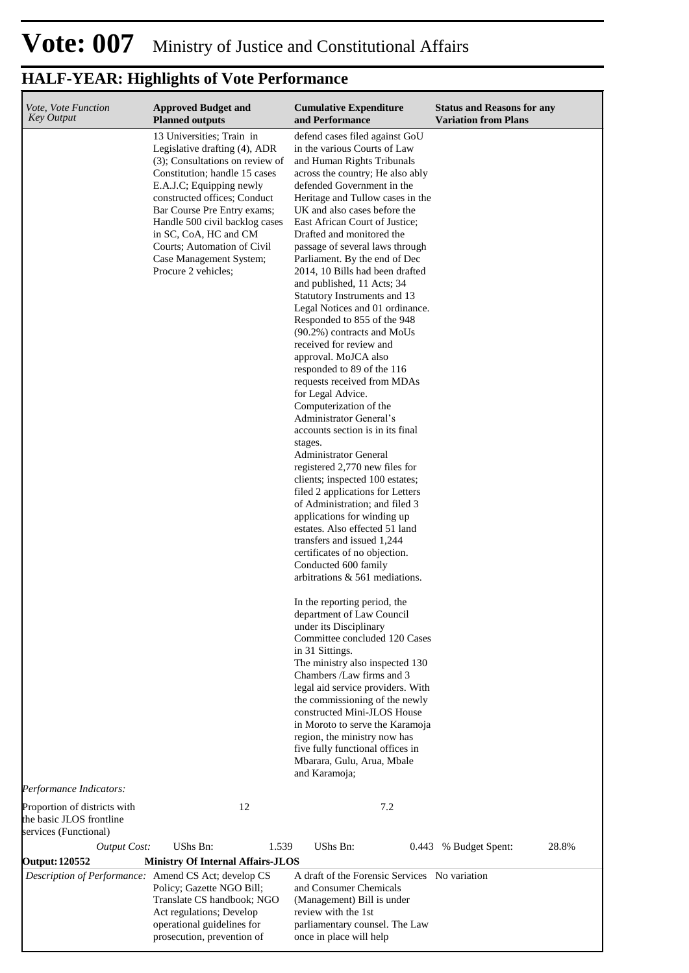| Vote, Vote Function                                  | <b>Approved Budget and</b>                                       | <b>Cumulative Expenditure</b>                                    | <b>Status and Reasons for any</b> |
|------------------------------------------------------|------------------------------------------------------------------|------------------------------------------------------------------|-----------------------------------|
| <b>Key Output</b>                                    | <b>Planned outputs</b>                                           | and Performance                                                  | <b>Variation from Plans</b>       |
|                                                      | 13 Universities; Train in                                        | defend cases filed against GoU                                   |                                   |
|                                                      | Legislative drafting (4), ADR<br>(3); Consultations on review of | in the various Courts of Law<br>and Human Rights Tribunals       |                                   |
|                                                      | Constitution; handle 15 cases                                    | across the country; He also ably                                 |                                   |
|                                                      | E.A.J.C; Equipping newly                                         | defended Government in the                                       |                                   |
|                                                      | constructed offices; Conduct                                     | Heritage and Tullow cases in the                                 |                                   |
|                                                      | Bar Course Pre Entry exams;                                      | UK and also cases before the                                     |                                   |
|                                                      | Handle 500 civil backlog cases<br>in SC, CoA, HC and CM          | East African Court of Justice;<br>Drafted and monitored the      |                                   |
|                                                      | Courts; Automation of Civil                                      | passage of several laws through                                  |                                   |
|                                                      | Case Management System;                                          | Parliament. By the end of Dec                                    |                                   |
|                                                      | Procure 2 vehicles;                                              | 2014, 10 Bills had been drafted                                  |                                   |
|                                                      |                                                                  | and published, 11 Acts; 34<br>Statutory Instruments and 13       |                                   |
|                                                      |                                                                  | Legal Notices and 01 ordinance.                                  |                                   |
|                                                      |                                                                  | Responded to 855 of the 948                                      |                                   |
|                                                      |                                                                  | $(90.2\%)$ contracts and MoUs<br>received for review and         |                                   |
|                                                      |                                                                  | approval. MoJCA also                                             |                                   |
|                                                      |                                                                  | responded to 89 of the 116                                       |                                   |
|                                                      |                                                                  | requests received from MDAs                                      |                                   |
|                                                      |                                                                  | for Legal Advice.                                                |                                   |
|                                                      |                                                                  | Computerization of the<br>Administrator General's                |                                   |
|                                                      |                                                                  | accounts section is in its final                                 |                                   |
|                                                      |                                                                  | stages.                                                          |                                   |
|                                                      |                                                                  | Administrator General<br>registered 2,770 new files for          |                                   |
|                                                      |                                                                  | clients; inspected 100 estates;                                  |                                   |
|                                                      |                                                                  | filed 2 applications for Letters                                 |                                   |
|                                                      |                                                                  | of Administration; and filed 3                                   |                                   |
|                                                      |                                                                  | applications for winding up<br>estates. Also effected 51 land    |                                   |
|                                                      |                                                                  | transfers and issued 1,244                                       |                                   |
|                                                      |                                                                  | certificates of no objection.                                    |                                   |
|                                                      |                                                                  | Conducted 600 family                                             |                                   |
|                                                      |                                                                  | arbitrations & 561 mediations.                                   |                                   |
|                                                      |                                                                  | In the reporting period, the                                     |                                   |
|                                                      |                                                                  | department of Law Council<br>under its Disciplinary              |                                   |
|                                                      |                                                                  | Committee concluded 120 Cases                                    |                                   |
|                                                      |                                                                  | in 31 Sittings.                                                  |                                   |
|                                                      |                                                                  | The ministry also inspected 130                                  |                                   |
|                                                      |                                                                  | Chambers /Law firms and 3<br>legal aid service providers. With   |                                   |
|                                                      |                                                                  | the commissioning of the newly                                   |                                   |
|                                                      |                                                                  | constructed Mini-JLOS House                                      |                                   |
|                                                      |                                                                  | in Moroto to serve the Karamoja                                  |                                   |
|                                                      |                                                                  | region, the ministry now has<br>five fully functional offices in |                                   |
|                                                      |                                                                  | Mbarara, Gulu, Arua, Mbale                                       |                                   |
|                                                      |                                                                  | and Karamoja;                                                    |                                   |
| Performance Indicators:                              |                                                                  |                                                                  |                                   |
| Proportion of districts with                         | 12                                                               | 7.2                                                              |                                   |
| the basic JLOS frontline                             |                                                                  |                                                                  |                                   |
| services (Functional)                                | UShs Bn:                                                         |                                                                  |                                   |
| <b>Output Cost:</b><br><b>Output: 120552</b>         | 1.539<br><b>Ministry Of Internal Affairs-JLOS</b>                | UShs Bn:                                                         | 28.8%<br>0.443 % Budget Spent:    |
| Description of Performance: Amend CS Act; develop CS |                                                                  | A draft of the Forensic Services No variation                    |                                   |
|                                                      | Policy; Gazette NGO Bill;                                        | and Consumer Chemicals                                           |                                   |
|                                                      | Translate CS handbook; NGO                                       | (Management) Bill is under                                       |                                   |
|                                                      | Act regulations; Develop<br>operational guidelines for           | review with the 1st<br>parliamentary counsel. The Law            |                                   |
|                                                      | prosecution, prevention of                                       | once in place will help                                          |                                   |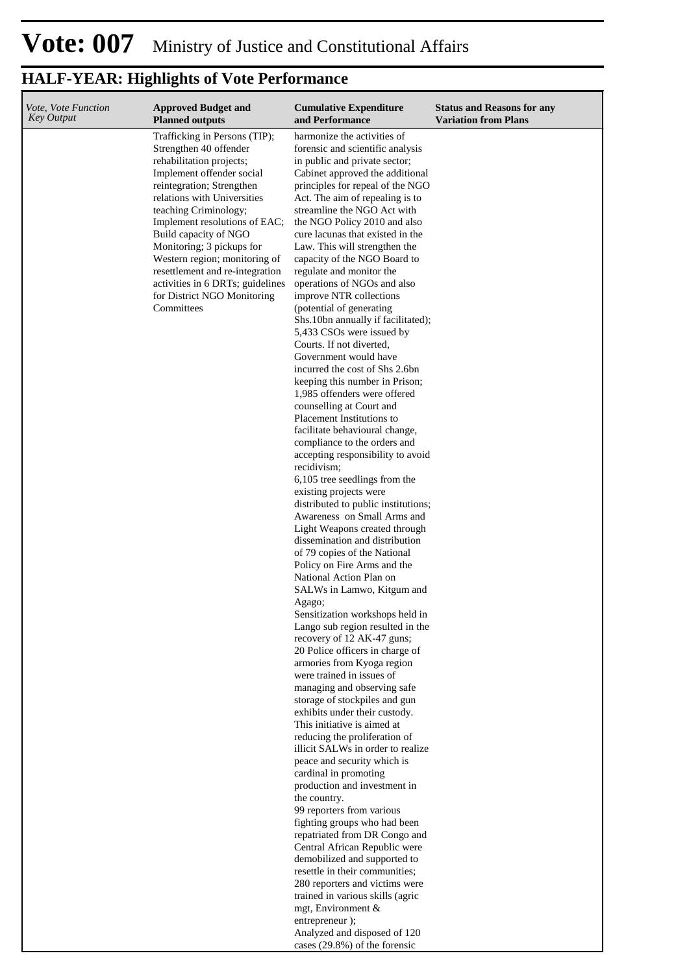| Vote, Vote Function<br><b>Key Output</b> | <b>Approved Budget and</b><br><b>Planned outputs</b>            | <b>Cumulative Expenditure</b><br>and Performance                  | <b>Status and Reasons for any</b><br><b>Variation from Plans</b> |
|------------------------------------------|-----------------------------------------------------------------|-------------------------------------------------------------------|------------------------------------------------------------------|
|                                          | Trafficking in Persons (TIP);                                   | harmonize the activities of                                       |                                                                  |
|                                          | Strengthen 40 offender                                          | forensic and scientific analysis                                  |                                                                  |
|                                          | rehabilitation projects;<br>Implement offender social           | in public and private sector;<br>Cabinet approved the additional  |                                                                  |
|                                          | reintegration; Strengthen                                       | principles for repeal of the NGO                                  |                                                                  |
|                                          | relations with Universities                                     | Act. The aim of repealing is to                                   |                                                                  |
|                                          | teaching Criminology;                                           | streamline the NGO Act with                                       |                                                                  |
|                                          | Implement resolutions of EAC;                                   | the NGO Policy 2010 and also                                      |                                                                  |
|                                          | Build capacity of NGO<br>Monitoring; 3 pickups for              | cure lacunas that existed in the<br>Law. This will strengthen the |                                                                  |
|                                          | Western region; monitoring of                                   | capacity of the NGO Board to                                      |                                                                  |
|                                          | resettlement and re-integration                                 | regulate and monitor the                                          |                                                                  |
|                                          | activities in 6 DRTs; guidelines<br>for District NGO Monitoring | operations of NGOs and also<br>improve NTR collections            |                                                                  |
|                                          | Committees                                                      | (potential of generating                                          |                                                                  |
|                                          |                                                                 | Shs.10bn annually if facilitated);                                |                                                                  |
|                                          |                                                                 | 5,433 CSOs were issued by                                         |                                                                  |
|                                          |                                                                 | Courts. If not diverted,<br>Government would have                 |                                                                  |
|                                          |                                                                 | incurred the cost of Shs 2.6bn                                    |                                                                  |
|                                          |                                                                 | keeping this number in Prison;                                    |                                                                  |
|                                          |                                                                 | 1,985 offenders were offered                                      |                                                                  |
|                                          |                                                                 | counselling at Court and<br>Placement Institutions to             |                                                                  |
|                                          |                                                                 | facilitate behavioural change,                                    |                                                                  |
|                                          |                                                                 | compliance to the orders and                                      |                                                                  |
|                                          |                                                                 | accepting responsibility to avoid                                 |                                                                  |
|                                          |                                                                 | recidivism;                                                       |                                                                  |
|                                          |                                                                 | 6,105 tree seedlings from the<br>existing projects were           |                                                                  |
|                                          |                                                                 | distributed to public institutions;                               |                                                                  |
|                                          |                                                                 | Awareness on Small Arms and                                       |                                                                  |
|                                          |                                                                 | Light Weapons created through                                     |                                                                  |
|                                          |                                                                 | dissemination and distribution<br>of 79 copies of the National    |                                                                  |
|                                          |                                                                 | Policy on Fire Arms and the                                       |                                                                  |
|                                          |                                                                 | National Action Plan on                                           |                                                                  |
|                                          |                                                                 | SALWs in Lamwo, Kitgum and                                        |                                                                  |
|                                          |                                                                 | Agago;<br>Sensitization workshops held in                         |                                                                  |
|                                          |                                                                 | Lango sub region resulted in the                                  |                                                                  |
|                                          |                                                                 | recovery of 12 AK-47 guns;                                        |                                                                  |
|                                          |                                                                 | 20 Police officers in charge of                                   |                                                                  |
|                                          |                                                                 | armories from Kyoga region<br>were trained in issues of           |                                                                  |
|                                          |                                                                 | managing and observing safe                                       |                                                                  |
|                                          |                                                                 | storage of stockpiles and gun                                     |                                                                  |
|                                          |                                                                 | exhibits under their custody.                                     |                                                                  |
|                                          |                                                                 | This initiative is aimed at<br>reducing the proliferation of      |                                                                  |
|                                          |                                                                 | illicit SALWs in order to realize                                 |                                                                  |
|                                          |                                                                 | peace and security which is                                       |                                                                  |
|                                          |                                                                 | cardinal in promoting                                             |                                                                  |
|                                          |                                                                 | production and investment in<br>the country.                      |                                                                  |
|                                          |                                                                 | 99 reporters from various                                         |                                                                  |
|                                          |                                                                 | fighting groups who had been                                      |                                                                  |
|                                          |                                                                 | repatriated from DR Congo and                                     |                                                                  |
|                                          |                                                                 | Central African Republic were<br>demobilized and supported to     |                                                                  |
|                                          |                                                                 | resettle in their communities;                                    |                                                                  |
|                                          |                                                                 | 280 reporters and victims were                                    |                                                                  |
|                                          |                                                                 | trained in various skills (agric                                  |                                                                  |
|                                          |                                                                 | mgt, Environment &<br>entrepreneur);                              |                                                                  |
|                                          |                                                                 | Analyzed and disposed of 120                                      |                                                                  |
|                                          |                                                                 | cases (29.8%) of the forensic                                     |                                                                  |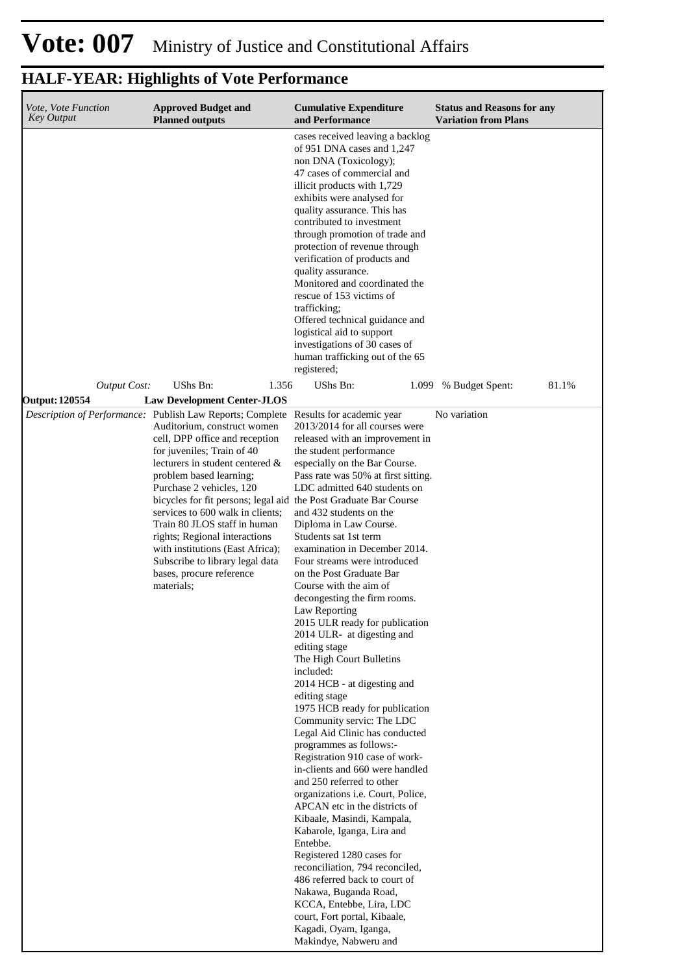| Vote, Vote Function<br><b>Key Output</b> | <b>Approved Budget and</b><br><b>Planned outputs</b>                                                                                                                                                                                                                                                                                                                                                                                                                                                                                                                   | <b>Cumulative Expenditure</b><br>and Performance                                                                                                                                                                                                                                                                                                                                                                                                                                                                                                                                                                                                                                                                                                                                                                                                                                                                                                                                                                                                                                                                                                                                                                                                                | <b>Status and Reasons for any</b><br><b>Variation from Plans</b> |
|------------------------------------------|------------------------------------------------------------------------------------------------------------------------------------------------------------------------------------------------------------------------------------------------------------------------------------------------------------------------------------------------------------------------------------------------------------------------------------------------------------------------------------------------------------------------------------------------------------------------|-----------------------------------------------------------------------------------------------------------------------------------------------------------------------------------------------------------------------------------------------------------------------------------------------------------------------------------------------------------------------------------------------------------------------------------------------------------------------------------------------------------------------------------------------------------------------------------------------------------------------------------------------------------------------------------------------------------------------------------------------------------------------------------------------------------------------------------------------------------------------------------------------------------------------------------------------------------------------------------------------------------------------------------------------------------------------------------------------------------------------------------------------------------------------------------------------------------------------------------------------------------------|------------------------------------------------------------------|
| <b>Output Cost:</b>                      | UShs Bn:<br>1.356                                                                                                                                                                                                                                                                                                                                                                                                                                                                                                                                                      | cases received leaving a backlog<br>of 951 DNA cases and 1,247<br>non DNA (Toxicology);<br>47 cases of commercial and<br>illicit products with 1,729<br>exhibits were analysed for<br>quality assurance. This has<br>contributed to investment<br>through promotion of trade and<br>protection of revenue through<br>verification of products and<br>quality assurance.<br>Monitored and coordinated the<br>rescue of 153 victims of<br>trafficking;<br>Offered technical guidance and<br>logistical aid to support<br>investigations of 30 cases of<br>human trafficking out of the 65<br>registered;<br>UShs Bn:<br>1.099                                                                                                                                                                                                                                                                                                                                                                                                                                                                                                                                                                                                                                     | % Budget Spent:<br>81.1%                                         |
| <b>Output: 120554</b>                    | <b>Law Development Center-JLOS</b>                                                                                                                                                                                                                                                                                                                                                                                                                                                                                                                                     |                                                                                                                                                                                                                                                                                                                                                                                                                                                                                                                                                                                                                                                                                                                                                                                                                                                                                                                                                                                                                                                                                                                                                                                                                                                                 |                                                                  |
|                                          | Description of Performance: Publish Law Reports; Complete Results for academic year<br>Auditorium, construct women<br>cell, DPP office and reception<br>for juveniles; Train of 40<br>lecturers in student centered &<br>problem based learning;<br>Purchase 2 vehicles, 120<br>bicycles for fit persons; legal aid the Post Graduate Bar Course<br>services to 600 walk in clients;<br>Train 80 JLOS staff in human<br>rights; Regional interactions<br>with institutions (East Africa);<br>Subscribe to library legal data<br>bases, procure reference<br>materials: | 2013/2014 for all courses were<br>released with an improvement in<br>the student performance<br>especially on the Bar Course.<br>Pass rate was 50% at first sitting.<br>LDC admitted 640 students on<br>and 432 students on the<br>Diploma in Law Course.<br>Students sat 1st term<br>examination in December 2014.<br>Four streams were introduced<br>on the Post Graduate Bar<br>Course with the aim of<br>decongesting the firm rooms.<br>Law Reporting<br>2015 ULR ready for publication<br>2014 ULR- at digesting and<br>editing stage<br>The High Court Bulletins<br>included:<br>2014 HCB - at digesting and<br>editing stage<br>1975 HCB ready for publication<br>Community servic: The LDC<br>Legal Aid Clinic has conducted<br>programmes as follows:-<br>Registration 910 case of work-<br>in-clients and 660 were handled<br>and 250 referred to other<br>organizations <i>i.e.</i> Court, Police,<br>APCAN etc in the districts of<br>Kibaale, Masindi, Kampala,<br>Kabarole, Iganga, Lira and<br>Entebbe.<br>Registered 1280 cases for<br>reconciliation, 794 reconciled,<br>486 referred back to court of<br>Nakawa, Buganda Road,<br>KCCA, Entebbe, Lira, LDC<br>court, Fort portal, Kibaale,<br>Kagadi, Oyam, Iganga,<br>Makindye, Nabweru and | No variation                                                     |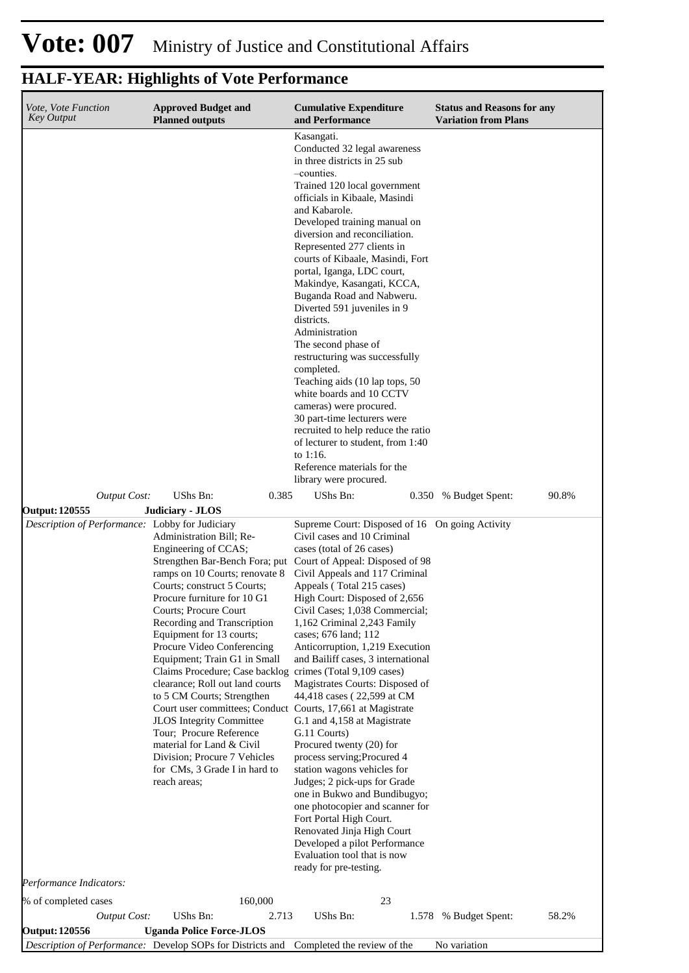## **Vote: 007** Ministry of Justice and Constitutional Affairs

| Vote, Vote Function<br><b>Key Output</b>                                                            | <b>Approved Budget and</b><br><b>Planned outputs</b>                                                                                                                                                                                                                                                                                                                                                                                                                                                                                                                                                                                                                     | <b>Cumulative Expenditure</b><br>and Performance                                                                                                                                                                                                                                                                                                                                                                                                                                                                                                                                                                                                                                                                                                                                                                                                                                                                                                    | <b>Status and Reasons for any</b><br><b>Variation from Plans</b> |
|-----------------------------------------------------------------------------------------------------|--------------------------------------------------------------------------------------------------------------------------------------------------------------------------------------------------------------------------------------------------------------------------------------------------------------------------------------------------------------------------------------------------------------------------------------------------------------------------------------------------------------------------------------------------------------------------------------------------------------------------------------------------------------------------|-----------------------------------------------------------------------------------------------------------------------------------------------------------------------------------------------------------------------------------------------------------------------------------------------------------------------------------------------------------------------------------------------------------------------------------------------------------------------------------------------------------------------------------------------------------------------------------------------------------------------------------------------------------------------------------------------------------------------------------------------------------------------------------------------------------------------------------------------------------------------------------------------------------------------------------------------------|------------------------------------------------------------------|
|                                                                                                     |                                                                                                                                                                                                                                                                                                                                                                                                                                                                                                                                                                                                                                                                          | Kasangati.<br>Conducted 32 legal awareness<br>in three districts in 25 sub<br>-counties.<br>Trained 120 local government<br>officials in Kibaale, Masindi<br>and Kabarole.<br>Developed training manual on<br>diversion and reconciliation.<br>Represented 277 clients in<br>courts of Kibaale, Masindi, Fort<br>portal, Iganga, LDC court,<br>Makindye, Kasangati, KCCA,<br>Buganda Road and Nabweru.<br>Diverted 591 juveniles in 9<br>districts.<br>Administration<br>The second phase of<br>restructuring was successfully<br>completed.<br>Teaching aids (10 lap tops, 50<br>white boards and 10 CCTV<br>cameras) were procured.<br>30 part-time lecturers were<br>recruited to help reduce the ratio<br>of lecturer to student, from 1:40<br>to $1:16$ .<br>Reference materials for the<br>library were procured.                                                                                                                             |                                                                  |
| <b>Output Cost:</b>                                                                                 | UShs Bn:<br>0.385                                                                                                                                                                                                                                                                                                                                                                                                                                                                                                                                                                                                                                                        | UShs Bn:                                                                                                                                                                                                                                                                                                                                                                                                                                                                                                                                                                                                                                                                                                                                                                                                                                                                                                                                            | 90.8%<br>0.350 % Budget Spent:                                   |
| <b>Output: 120555</b><br>Description of Performance: Lobby for Judiciary<br>Performance Indicators: | Judiciary - JLOS<br>Administration Bill; Re-<br>Engineering of CCAS;<br>ramps on 10 Courts; renovate 8<br>Courts; construct 5 Courts;<br>Procure furniture for 10 G1<br>Courts; Procure Court<br>Recording and Transcription<br>Equipment for 13 courts;<br>Procure Video Conferencing<br>Equipment; Train G1 in Small<br>Claims Procedure; Case backlog<br>clearance; Roll out land courts<br>to 5 CM Courts; Strengthen<br>Court user committees; Conduct Courts, 17,661 at Magistrate<br>JLOS Integrity Committee<br>Tour; Procure Reference<br>material for Land & Civil<br>Division; Procure 7 Vehicles<br>for CMs, 3 Grade I in hard to<br>reach areas;<br>160,000 | Supreme Court: Disposed of 16 On going Activity<br>Civil cases and 10 Criminal<br>cases (total of 26 cases)<br>Strengthen Bar-Bench Fora; put Court of Appeal: Disposed of 98<br>Civil Appeals and 117 Criminal<br>Appeals (Total 215 cases)<br>High Court: Disposed of 2,656<br>Civil Cases; 1,038 Commercial;<br>1,162 Criminal 2,243 Family<br>cases; 676 land; 112<br>Anticorruption, 1,219 Execution<br>and Bailiff cases, 3 international<br>crimes (Total 9,109 cases)<br>Magistrates Courts: Disposed of<br>44,418 cases (22,599 at CM<br>G.1 and 4,158 at Magistrate<br>G.11 Courts)<br>Procured twenty (20) for<br>process serving; Procured 4<br>station wagons vehicles for<br>Judges; 2 pick-ups for Grade<br>one in Bukwo and Bundibugyo;<br>one photocopier and scanner for<br>Fort Portal High Court.<br>Renovated Jinja High Court<br>Developed a pilot Performance<br>Evaluation tool that is now<br>ready for pre-testing.<br>23 |                                                                  |
| % of completed cases<br><b>Output Cost:</b>                                                         | UShs Bn:<br>2.713                                                                                                                                                                                                                                                                                                                                                                                                                                                                                                                                                                                                                                                        | UShs Bn:                                                                                                                                                                                                                                                                                                                                                                                                                                                                                                                                                                                                                                                                                                                                                                                                                                                                                                                                            | 58.2%<br>1.578 % Budget Spent:                                   |
| <b>Output: 120556</b>                                                                               | <b>Uganda Police Force-JLOS</b><br>Description of Performance: Develop SOPs for Districts and Completed the review of the                                                                                                                                                                                                                                                                                                                                                                                                                                                                                                                                                |                                                                                                                                                                                                                                                                                                                                                                                                                                                                                                                                                                                                                                                                                                                                                                                                                                                                                                                                                     | No variation                                                     |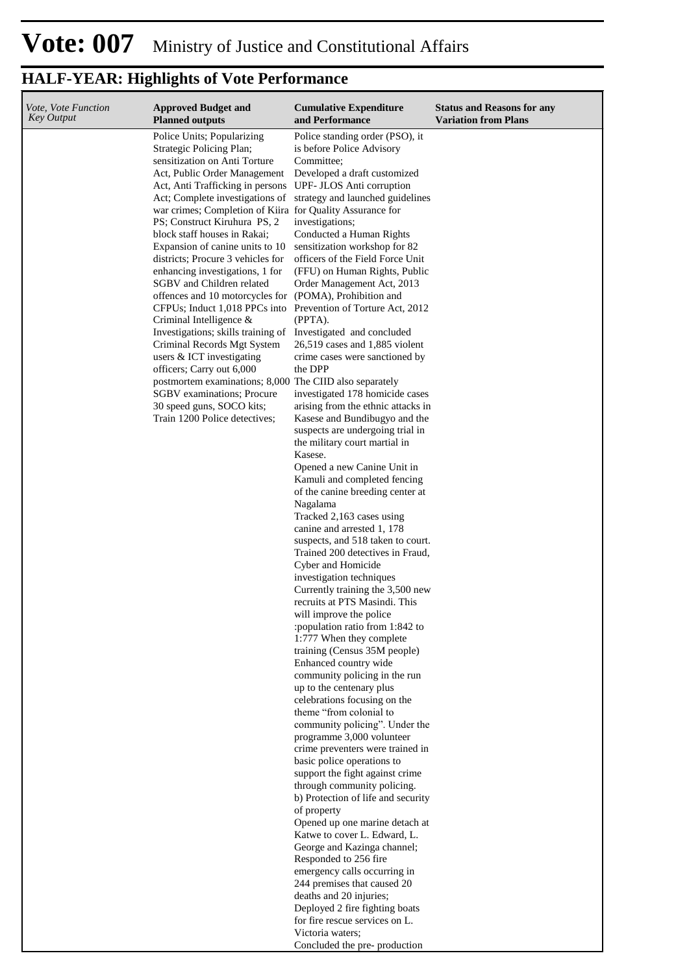| Vote, Vote Function<br>Key Output | <b>Approved Budget and</b><br><b>Planned outputs</b>                                                                                                                                                                                                                                                                                                                                                                                                                                                                                                                                                                                                                                                                         | <b>Cumulative Expenditure</b><br>and Performance                                                                                                                                                                                                                                                                                                                                                                                                                                                                                                                                                                                                                                                                                                                                            | <b>Status and Reasons for any</b><br><b>Variation from Plans</b> |
|-----------------------------------|------------------------------------------------------------------------------------------------------------------------------------------------------------------------------------------------------------------------------------------------------------------------------------------------------------------------------------------------------------------------------------------------------------------------------------------------------------------------------------------------------------------------------------------------------------------------------------------------------------------------------------------------------------------------------------------------------------------------------|---------------------------------------------------------------------------------------------------------------------------------------------------------------------------------------------------------------------------------------------------------------------------------------------------------------------------------------------------------------------------------------------------------------------------------------------------------------------------------------------------------------------------------------------------------------------------------------------------------------------------------------------------------------------------------------------------------------------------------------------------------------------------------------------|------------------------------------------------------------------|
|                                   | Police Units; Popularizing<br>Strategic Policing Plan;<br>sensitization on Anti Torture<br>Act, Public Order Management<br>Act, Anti Trafficking in persons<br>Act; Complete investigations of<br>war crimes; Completion of Kiira for Quality Assurance for<br>PS; Construct Kiruhura PS, 2<br>block staff houses in Rakai;<br>Expansion of canine units to 10<br>districts; Procure 3 vehicles for<br>enhancing investigations, 1 for<br>SGBV and Children related<br>offences and 10 motorcycles for (POMA), Prohibition and<br>CFPUs; Induct 1,018 PPCs into Prevention of Torture Act, 2012<br>Criminal Intelligence &<br>Investigations; skills training of<br>Criminal Records Mgt System<br>users & ICT investigating | Police standing order (PSO), it<br>is before Police Advisory<br>Committee;<br>Developed a draft customized<br>UPF- JLOS Anti corruption<br>strategy and launched guidelines<br>investigations;<br>Conducted a Human Rights<br>sensitization workshop for 82<br>officers of the Field Force Unit<br>(FFU) on Human Rights, Public<br>Order Management Act, 2013<br>(PPTA).<br>Investigated and concluded<br>26,519 cases and 1,885 violent<br>crime cases were sanctioned by                                                                                                                                                                                                                                                                                                                 |                                                                  |
|                                   | officers; Carry out 6,000<br>postmortem examinations; 8,000 The CIID also separately<br><b>SGBV</b> examinations; Procure<br>30 speed guns, SOCO kits;<br>Train 1200 Police detectives;                                                                                                                                                                                                                                                                                                                                                                                                                                                                                                                                      | the DPP<br>investigated 178 homicide cases<br>arising from the ethnic attacks in<br>Kasese and Bundibugyo and the<br>suspects are undergoing trial in<br>the military court martial in<br>Kasese.<br>Opened a new Canine Unit in<br>Kamuli and completed fencing<br>of the canine breeding center at<br>Nagalama<br>Tracked 2,163 cases using<br>canine and arrested 1, 178<br>suspects, and 518 taken to court.<br>Trained 200 detectives in Fraud,<br>Cyber and Homicide<br>investigation techniques<br>Currently training the 3,500 new<br>recruits at PTS Masindi. This<br>will improve the police<br>:population ratio from 1:842 to<br>1:777 When they complete<br>training (Census 35M people)<br>Enhanced country wide<br>community policing in the run<br>up to the centenary plus |                                                                  |
|                                   |                                                                                                                                                                                                                                                                                                                                                                                                                                                                                                                                                                                                                                                                                                                              | celebrations focusing on the<br>theme "from colonial to<br>community policing". Under the<br>programme 3,000 volunteer<br>crime preventers were trained in<br>basic police operations to<br>support the fight against crime<br>through community policing.<br>b) Protection of life and security<br>of property<br>Opened up one marine detach at<br>Katwe to cover L. Edward, L.<br>George and Kazinga channel;<br>Responded to 256 fire<br>emergency calls occurring in<br>244 premises that caused 20<br>deaths and 20 injuries;<br>Deployed 2 fire fighting boats<br>for fire rescue services on L.<br>Victoria waters;<br>Concluded the pre-production                                                                                                                                 |                                                                  |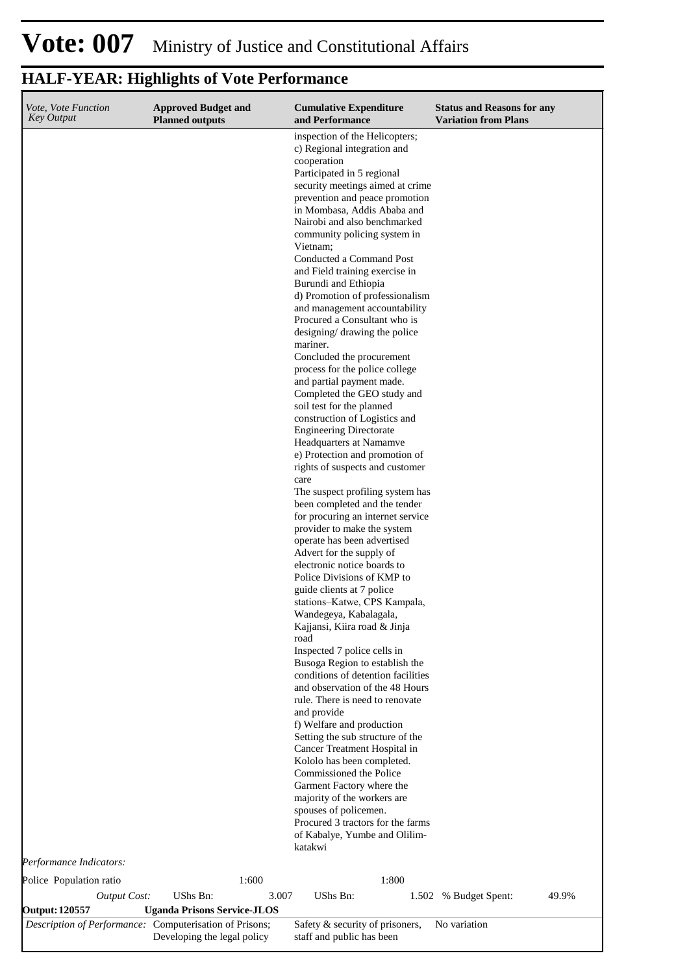## **Vote: 007** Ministry of Justice and Constitutional Affairs

| Vote, Vote Function<br><b>Key Output</b>                | <b>Approved Budget and</b><br><b>Planned outputs</b> | <b>Cumulative Expenditure</b><br>and Performance                 | <b>Status and Reasons for any</b><br><b>Variation from Plans</b> |
|---------------------------------------------------------|------------------------------------------------------|------------------------------------------------------------------|------------------------------------------------------------------|
|                                                         |                                                      | inspection of the Helicopters;<br>c) Regional integration and    |                                                                  |
|                                                         |                                                      | cooperation                                                      |                                                                  |
|                                                         |                                                      | Participated in 5 regional<br>security meetings aimed at crime   |                                                                  |
|                                                         |                                                      | prevention and peace promotion                                   |                                                                  |
|                                                         |                                                      | in Mombasa, Addis Ababa and                                      |                                                                  |
|                                                         |                                                      | Nairobi and also benchmarked                                     |                                                                  |
|                                                         |                                                      | community policing system in<br>Vietnam;                         |                                                                  |
|                                                         |                                                      | Conducted a Command Post                                         |                                                                  |
|                                                         |                                                      | and Field training exercise in                                   |                                                                  |
|                                                         |                                                      | Burundi and Ethiopia                                             |                                                                  |
|                                                         |                                                      | d) Promotion of professionalism                                  |                                                                  |
|                                                         |                                                      | and management accountability<br>Procured a Consultant who is    |                                                                  |
|                                                         |                                                      | designing/ drawing the police                                    |                                                                  |
|                                                         |                                                      | mariner.                                                         |                                                                  |
|                                                         |                                                      | Concluded the procurement                                        |                                                                  |
|                                                         |                                                      | process for the police college<br>and partial payment made.      |                                                                  |
|                                                         |                                                      | Completed the GEO study and                                      |                                                                  |
|                                                         |                                                      | soil test for the planned                                        |                                                                  |
|                                                         |                                                      | construction of Logistics and                                    |                                                                  |
|                                                         |                                                      | <b>Engineering Directorate</b>                                   |                                                                  |
|                                                         |                                                      | Headquarters at Namamve<br>e) Protection and promotion of        |                                                                  |
|                                                         |                                                      | rights of suspects and customer                                  |                                                                  |
|                                                         |                                                      | care                                                             |                                                                  |
|                                                         |                                                      | The suspect profiling system has                                 |                                                                  |
|                                                         |                                                      | been completed and the tender                                    |                                                                  |
|                                                         |                                                      | for procuring an internet service<br>provider to make the system |                                                                  |
|                                                         |                                                      | operate has been advertised                                      |                                                                  |
|                                                         |                                                      | Advert for the supply of                                         |                                                                  |
|                                                         |                                                      | electronic notice boards to                                      |                                                                  |
|                                                         |                                                      | Police Divisions of KMP to<br>guide clients at 7 police          |                                                                  |
|                                                         |                                                      | stations-Katwe, CPS Kampala,                                     |                                                                  |
|                                                         |                                                      | Wandegeya, Kabalagala,                                           |                                                                  |
|                                                         |                                                      | Kajjansi, Kiira road & Jinja                                     |                                                                  |
|                                                         |                                                      | road<br>Inspected 7 police cells in                              |                                                                  |
|                                                         |                                                      | Busoga Region to establish the                                   |                                                                  |
|                                                         |                                                      | conditions of detention facilities                               |                                                                  |
|                                                         |                                                      | and observation of the 48 Hours                                  |                                                                  |
|                                                         |                                                      | rule. There is need to renovate                                  |                                                                  |
|                                                         |                                                      | and provide<br>f) Welfare and production                         |                                                                  |
|                                                         |                                                      | Setting the sub structure of the                                 |                                                                  |
|                                                         |                                                      | Cancer Treatment Hospital in                                     |                                                                  |
|                                                         |                                                      | Kololo has been completed.                                       |                                                                  |
|                                                         |                                                      | Commissioned the Police                                          |                                                                  |
|                                                         |                                                      | Garment Factory where the<br>majority of the workers are         |                                                                  |
|                                                         |                                                      | spouses of policemen.                                            |                                                                  |
|                                                         |                                                      | Procured 3 tractors for the farms                                |                                                                  |
|                                                         |                                                      | of Kabalye, Yumbe and Olilim-<br>katakwi                         |                                                                  |
| Performance Indicators:                                 |                                                      |                                                                  |                                                                  |
|                                                         | 1:600                                                | 1:800                                                            |                                                                  |
| Police Population ratio                                 |                                                      |                                                                  |                                                                  |
| <b>Output Cost:</b><br><b>Output: 120557</b>            | UShs Bn:<br><b>Uganda Prisons Service-JLOS</b>       | UShs Bn:<br>3.007                                                | 49.9%<br>1.502 % Budget Spent:                                   |
| Description of Performance: Computerisation of Prisons; | Developing the legal policy                          | Safety & security of prisoners,<br>staff and public has been     | No variation                                                     |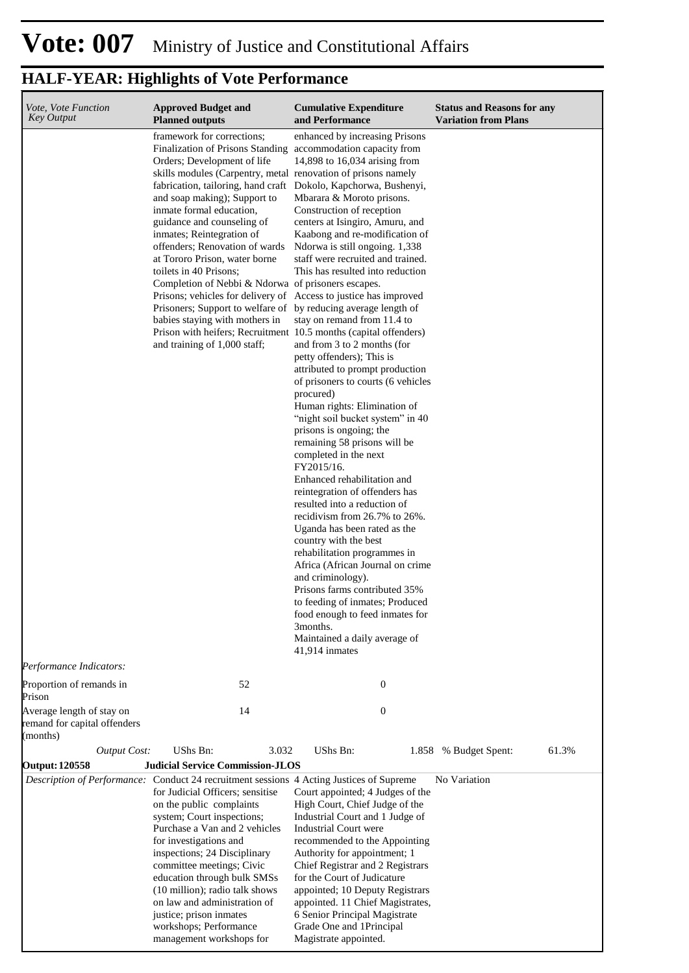| Vote, Vote Function<br><b>Key Output</b>                              | <b>Approved Budget and</b><br><b>Planned outputs</b>                                                                                                                                                                                                                                                                                                                                                                                                                                                                                                                                                                                                                                                                                                                                           | <b>Cumulative Expenditure</b><br>and Performance                                                                                                                                                                                                                                                                                                                                                                                                                                                                                                                                                                                                                                                                                                                                                                                                                                                                                                                                                                                                                                                                                                          | <b>Status and Reasons for any</b><br><b>Variation from Plans</b> |
|-----------------------------------------------------------------------|------------------------------------------------------------------------------------------------------------------------------------------------------------------------------------------------------------------------------------------------------------------------------------------------------------------------------------------------------------------------------------------------------------------------------------------------------------------------------------------------------------------------------------------------------------------------------------------------------------------------------------------------------------------------------------------------------------------------------------------------------------------------------------------------|-----------------------------------------------------------------------------------------------------------------------------------------------------------------------------------------------------------------------------------------------------------------------------------------------------------------------------------------------------------------------------------------------------------------------------------------------------------------------------------------------------------------------------------------------------------------------------------------------------------------------------------------------------------------------------------------------------------------------------------------------------------------------------------------------------------------------------------------------------------------------------------------------------------------------------------------------------------------------------------------------------------------------------------------------------------------------------------------------------------------------------------------------------------|------------------------------------------------------------------|
| Performance Indicators:                                               | framework for corrections;<br><b>Finalization of Prisons Standing</b><br>Orders; Development of life<br>skills modules (Carpentry, metal renovation of prisons namely<br>fabrication, tailoring, hand craft Dokolo, Kapchorwa, Bushenyi,<br>and soap making); Support to<br>inmate formal education,<br>guidance and counseling of<br>inmates; Reintegration of<br>offenders; Renovation of wards<br>at Tororo Prison, water borne<br>toilets in 40 Prisons;<br>Completion of Nebbi & Ndorwa of prisoners escapes.<br>Prisons; vehicles for delivery of Access to justice has improved<br>Prisoners; Support to welfare of by reducing average length of<br>babies staying with mothers in<br>Prison with heifers; Recruitment 10.5 months (capital offenders)<br>and training of 1,000 staff; | enhanced by increasing Prisons<br>accommodation capacity from<br>14,898 to 16,034 arising from<br>Mbarara & Moroto prisons.<br>Construction of reception<br>centers at Isingiro, Amuru, and<br>Kaabong and re-modification of<br>Ndorwa is still ongoing. 1,338<br>staff were recruited and trained.<br>This has resulted into reduction<br>stay on remand from 11.4 to<br>and from 3 to 2 months (for<br>petty offenders); This is<br>attributed to prompt production<br>of prisoners to courts (6 vehicles<br>procured)<br>Human rights: Elimination of<br>"night soil bucket system" in 40<br>prisons is ongoing; the<br>remaining 58 prisons will be<br>completed in the next<br>FY2015/16.<br>Enhanced rehabilitation and<br>reintegration of offenders has<br>resulted into a reduction of<br>recidivism from 26.7% to 26%.<br>Uganda has been rated as the<br>country with the best<br>rehabilitation programmes in<br>Africa (African Journal on crime<br>and criminology).<br>Prisons farms contributed 35%<br>to feeding of inmates; Produced<br>food enough to feed inmates for<br>3months.<br>Maintained a daily average of<br>41,914 inmates |                                                                  |
| Proportion of remands in<br>Prison                                    | 52                                                                                                                                                                                                                                                                                                                                                                                                                                                                                                                                                                                                                                                                                                                                                                                             | $\mathbf{0}$                                                                                                                                                                                                                                                                                                                                                                                                                                                                                                                                                                                                                                                                                                                                                                                                                                                                                                                                                                                                                                                                                                                                              |                                                                  |
| Average length of stay on<br>remand for capital offenders<br>(months) | 14                                                                                                                                                                                                                                                                                                                                                                                                                                                                                                                                                                                                                                                                                                                                                                                             | $\mathbf{0}$                                                                                                                                                                                                                                                                                                                                                                                                                                                                                                                                                                                                                                                                                                                                                                                                                                                                                                                                                                                                                                                                                                                                              |                                                                  |
| <b>Output Cost:</b>                                                   | UShs Bn:<br>3.032                                                                                                                                                                                                                                                                                                                                                                                                                                                                                                                                                                                                                                                                                                                                                                              | UShs Bn:                                                                                                                                                                                                                                                                                                                                                                                                                                                                                                                                                                                                                                                                                                                                                                                                                                                                                                                                                                                                                                                                                                                                                  | 61.3%<br>1.858 % Budget Spent:                                   |
| <b>Output: 120558</b>                                                 | <b>Judicial Service Commission-JLOS</b>                                                                                                                                                                                                                                                                                                                                                                                                                                                                                                                                                                                                                                                                                                                                                        |                                                                                                                                                                                                                                                                                                                                                                                                                                                                                                                                                                                                                                                                                                                                                                                                                                                                                                                                                                                                                                                                                                                                                           |                                                                  |
|                                                                       | <i>Description of Performance:</i> Conduct 24 recruitment sessions 4 Acting Justices of Supreme<br>for Judicial Officers; sensitise<br>on the public complaints<br>system; Court inspections;<br>Purchase a Van and 2 vehicles<br>for investigations and<br>inspections; 24 Disciplinary<br>committee meetings; Civic<br>education through bulk SMSs<br>(10 million); radio talk shows<br>on law and administration of<br>justice; prison inmates<br>workshops; Performance<br>management workshops for                                                                                                                                                                                                                                                                                        | Court appointed; 4 Judges of the<br>High Court, Chief Judge of the<br>Industrial Court and 1 Judge of<br>Industrial Court were<br>recommended to the Appointing<br>Authority for appointment; 1<br>Chief Registrar and 2 Registrars<br>for the Court of Judicature<br>appointed; 10 Deputy Registrars<br>appointed. 11 Chief Magistrates,<br>6 Senior Principal Magistrate<br>Grade One and 1Principal<br>Magistrate appointed.                                                                                                                                                                                                                                                                                                                                                                                                                                                                                                                                                                                                                                                                                                                           | No Variation                                                     |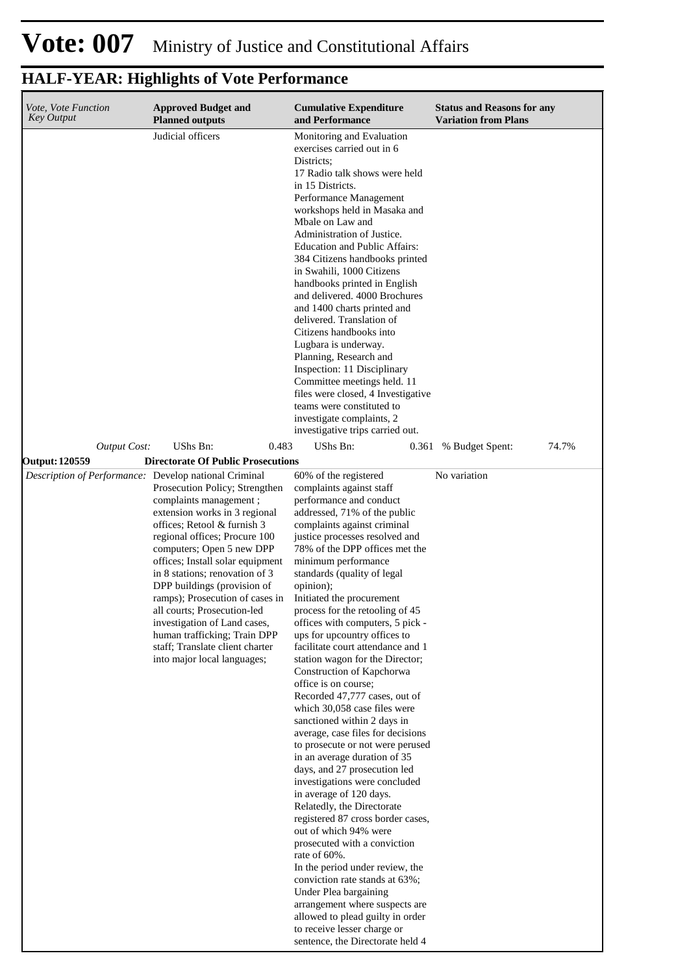#### **Cumulative Expenditure and Performance Approved Budget and Planned outputs Status and Reasons for any Variation from Plans** *Vote, Vote Function Key Output* Judicial officers Monitoring and Evaluation exercises carried out in 6 Districts; 17 Radio talk shows were held in 15 Districts. Performance Management workshops held in Masaka and Mbale on Law and Administration of Justice. Education and Public Affairs: 384 Citizens handbooks printed in Swahili, 1000 Citizens handbooks printed in English and delivered. 4000 Brochures and 1400 charts printed and delivered. Translation of Citizens handbooks into Lugbara is underway. Planning, Research and Inspection: 11 Disciplinary Committee meetings held. 11 files were closed, 4 Investigative teams were constituted to investigate complaints, 2 investigative trips carried out. *Output Cost:* UShs Bn: 0.483 UShs Bn: 0.361 % Budget Spent: 74.7% **Output: 120559 Directorate Of Public Prosecutions** *Description of Performance:* Develop national Criminal Prosecution Policy; Strengthen complaints management ; extension works in 3 regional offices; Retool & furnish 3 regional offices; Procure 100 computers; Open 5 new DPP offices; Install solar equipment in 8 stations; renovation of 3 DPP buildings (provision of ramps); Prosecution of cases in all courts; Prosecution-led investigation of Land cases, human trafficking; Train DPP staff; Translate client charter into major local languages; 60% of the registered complaints against staff performance and conduct addressed, 71% of the public complaints against criminal justice processes resolved and 78% of the DPP offices met the minimum performance standards (quality of legal opinion); Initiated the procurement process for the retooling of 45 offices with computers, 5 pick ups for upcountry offices to facilitate court attendance and 1 station wagon for the Director; Construction of Kapchorwa office is on course; Recorded 47,777 cases, out of which 30,058 case files were sanctioned within 2 days in average, case files for decisions to prosecute or not were perused in an average duration of 35 days, and 27 prosecution led investigations were concluded in average of 120 days. Relatedly, the Directorate registered 87 cross border cases, out of which 94% were prosecuted with a conviction rate of 60%. In the period under review, the conviction rate stands at 63%; Under Plea bargaining arrangement where suspects are No variation

allowed to plead guilty in order to receive lesser charge or sentence, the Directorate held 4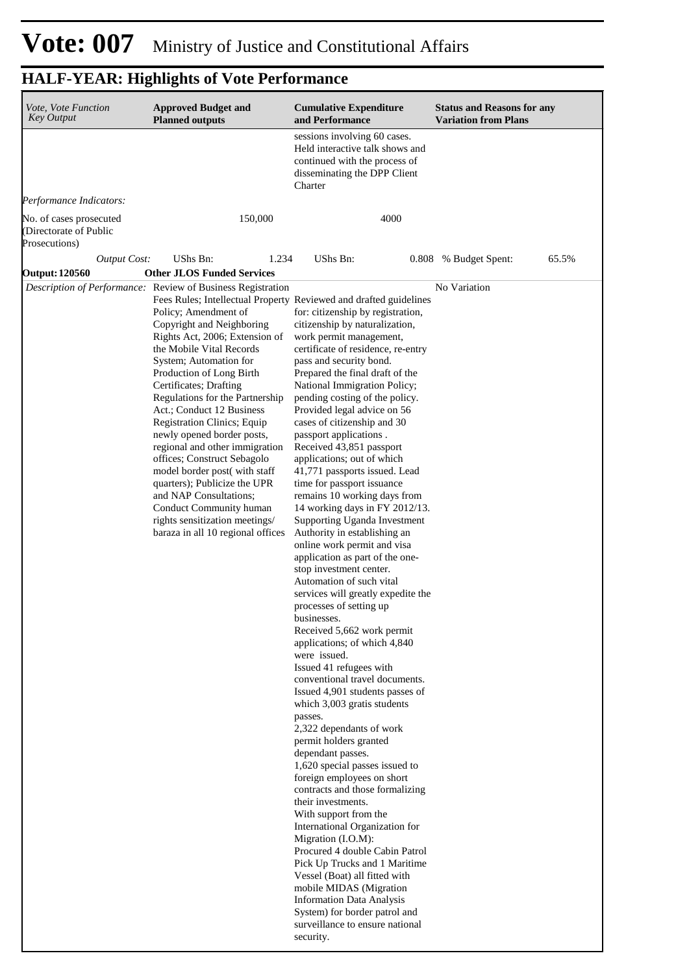| Vote, Vote Function<br><b>Key Output</b>                           | <b>Approved Budget and</b><br><b>Planned outputs</b>                                                                                                                                                                                                                                                                                                                                                                                                                                                                                                                                                                                                                                                                          | <b>Cumulative Expenditure</b><br>and Performance                                                                                                                                                                                                                                                                                                                                                                                                                                                                                                                                                                                                                                                                                                                                                                                                                                                                                                                                                                                                                                                                                                                                                                                                                                                                                                                                                                                                                                                                                                                                                  | <b>Status and Reasons for any</b><br><b>Variation from Plans</b> |
|--------------------------------------------------------------------|-------------------------------------------------------------------------------------------------------------------------------------------------------------------------------------------------------------------------------------------------------------------------------------------------------------------------------------------------------------------------------------------------------------------------------------------------------------------------------------------------------------------------------------------------------------------------------------------------------------------------------------------------------------------------------------------------------------------------------|---------------------------------------------------------------------------------------------------------------------------------------------------------------------------------------------------------------------------------------------------------------------------------------------------------------------------------------------------------------------------------------------------------------------------------------------------------------------------------------------------------------------------------------------------------------------------------------------------------------------------------------------------------------------------------------------------------------------------------------------------------------------------------------------------------------------------------------------------------------------------------------------------------------------------------------------------------------------------------------------------------------------------------------------------------------------------------------------------------------------------------------------------------------------------------------------------------------------------------------------------------------------------------------------------------------------------------------------------------------------------------------------------------------------------------------------------------------------------------------------------------------------------------------------------------------------------------------------------|------------------------------------------------------------------|
|                                                                    |                                                                                                                                                                                                                                                                                                                                                                                                                                                                                                                                                                                                                                                                                                                               | sessions involving 60 cases.<br>Held interactive talk shows and<br>continued with the process of<br>disseminating the DPP Client<br>Charter                                                                                                                                                                                                                                                                                                                                                                                                                                                                                                                                                                                                                                                                                                                                                                                                                                                                                                                                                                                                                                                                                                                                                                                                                                                                                                                                                                                                                                                       |                                                                  |
| Performance Indicators:                                            |                                                                                                                                                                                                                                                                                                                                                                                                                                                                                                                                                                                                                                                                                                                               |                                                                                                                                                                                                                                                                                                                                                                                                                                                                                                                                                                                                                                                                                                                                                                                                                                                                                                                                                                                                                                                                                                                                                                                                                                                                                                                                                                                                                                                                                                                                                                                                   |                                                                  |
| No. of cases prosecuted<br>(Directorate of Public<br>Prosecutions) | 150,000                                                                                                                                                                                                                                                                                                                                                                                                                                                                                                                                                                                                                                                                                                                       | 4000                                                                                                                                                                                                                                                                                                                                                                                                                                                                                                                                                                                                                                                                                                                                                                                                                                                                                                                                                                                                                                                                                                                                                                                                                                                                                                                                                                                                                                                                                                                                                                                              |                                                                  |
| <b>Output Cost:</b><br>Output: 120560                              | UShs Bn:<br>1.234<br><b>Other JLOS Funded Services</b>                                                                                                                                                                                                                                                                                                                                                                                                                                                                                                                                                                                                                                                                        | <b>UShs Bn:</b>                                                                                                                                                                                                                                                                                                                                                                                                                                                                                                                                                                                                                                                                                                                                                                                                                                                                                                                                                                                                                                                                                                                                                                                                                                                                                                                                                                                                                                                                                                                                                                                   | 65.5%<br>0.808 % Budget Spent:                                   |
|                                                                    | Description of Performance: Review of Business Registration<br>Fees Rules; Intellectual Property Reviewed and drafted guidelines<br>Policy; Amendment of<br>Copyright and Neighboring<br>Rights Act, 2006; Extension of<br>the Mobile Vital Records<br>System; Automation for<br>Production of Long Birth<br>Certificates; Drafting<br>Regulations for the Partnership<br>Act.; Conduct 12 Business<br>Registration Clinics; Equip<br>newly opened border posts,<br>regional and other immigration<br>offices; Construct Sebagolo<br>model border post(with staff<br>quarters); Publicize the UPR<br>and NAP Consultations;<br>Conduct Community human<br>rights sensitization meetings/<br>baraza in all 10 regional offices | for: citizenship by registration,<br>citizenship by naturalization,<br>work permit management,<br>certificate of residence, re-entry<br>pass and security bond.<br>Prepared the final draft of the<br>National Immigration Policy;<br>pending costing of the policy.<br>Provided legal advice on 56<br>cases of citizenship and 30<br>passport applications.<br>Received 43,851 passport<br>applications; out of which<br>41,771 passports issued. Lead<br>time for passport issuance<br>remains 10 working days from<br>14 working days in FY 2012/13.<br>Supporting Uganda Investment<br>Authority in establishing an<br>online work permit and visa<br>application as part of the one-<br>stop investment center.<br>Automation of such vital<br>services will greatly expedite the<br>processes of setting up<br>businesses.<br>Received 5,662 work permit<br>applications; of which 4,840<br>were issued.<br>Issued 41 refugees with<br>conventional travel documents.<br>Issued 4,901 students passes of<br>which 3,003 gratis students<br>passes.<br>2,322 dependants of work<br>permit holders granted<br>dependant passes.<br>1,620 special passes issued to<br>foreign employees on short<br>contracts and those formalizing<br>their investments.<br>With support from the<br>International Organization for<br>Migration (I.O.M):<br>Procured 4 double Cabin Patrol<br>Pick Up Trucks and 1 Maritime<br>Vessel (Boat) all fitted with<br>mobile MIDAS (Migration<br><b>Information Data Analysis</b><br>System) for border patrol and<br>surveillance to ensure national<br>security. | No Variation                                                     |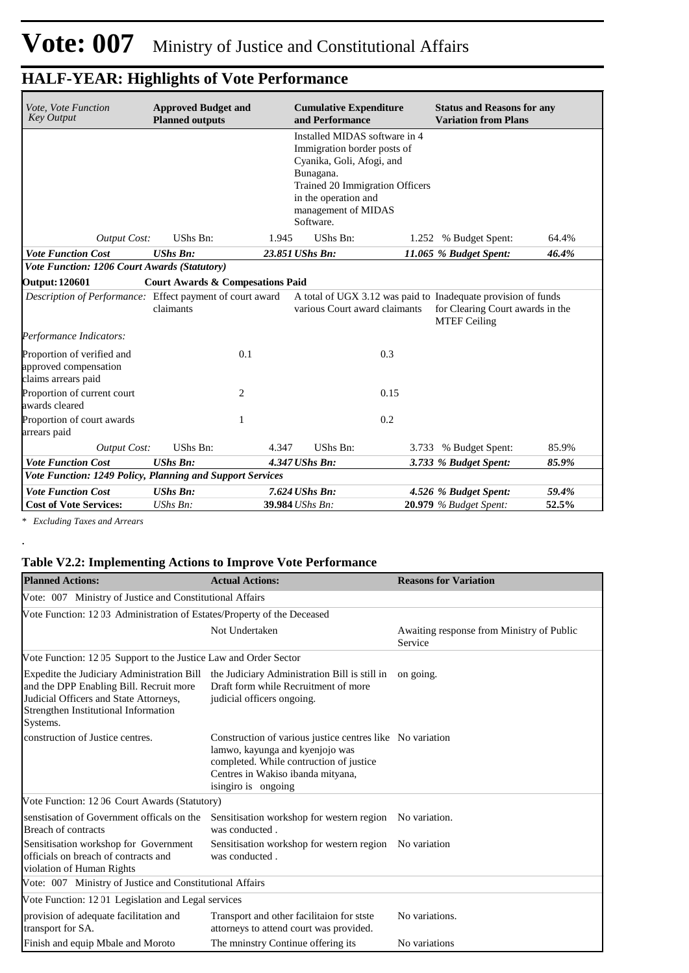| Vote, Vote Function<br><b>Key Output</b>                                                                                                                                                              | <b>Approved Budget and</b><br><b>Cumulative Expenditure</b><br>and Performance<br><b>Planned outputs</b> |       |                               |       | <b>Status and Reasons for any</b><br><b>Variation from Plans</b>                                                         |       |  |  |
|-------------------------------------------------------------------------------------------------------------------------------------------------------------------------------------------------------|----------------------------------------------------------------------------------------------------------|-------|-------------------------------|-------|--------------------------------------------------------------------------------------------------------------------------|-------|--|--|
| Installed MIDAS software in 4<br>Immigration border posts of<br>Cyanika, Goli, Afogi, and<br>Bunagana.<br>Trained 20 Immigration Officers<br>in the operation and<br>management of MIDAS<br>Software. |                                                                                                          |       |                               |       |                                                                                                                          |       |  |  |
| <b>Output Cost:</b>                                                                                                                                                                                   | UShs Bn:                                                                                                 | 1.945 | UShs Bn:                      | 1.252 | % Budget Spent:                                                                                                          | 64.4% |  |  |
| <b>Vote Function Cost</b>                                                                                                                                                                             | <b>UShs Bn:</b>                                                                                          |       | 23.851 UShs Bn:               |       | 11.065 % Budget Spent:                                                                                                   | 46.4% |  |  |
| Vote Function: 1206 Court Awards (Statutory)                                                                                                                                                          |                                                                                                          |       |                               |       |                                                                                                                          |       |  |  |
| <b>Output: 120601</b>                                                                                                                                                                                 | <b>Court Awards &amp; Compesations Paid</b>                                                              |       |                               |       |                                                                                                                          |       |  |  |
| Description of Performance: Effect payment of court award<br>Performance Indicators:                                                                                                                  | claimants                                                                                                |       | various Court award claimants |       | A total of UGX 3.12 was paid to Inadequate provision of funds<br>for Clearing Court awards in the<br><b>MTEF Ceiling</b> |       |  |  |
| Proportion of verified and<br>approved compensation<br>claims arrears paid                                                                                                                            | 0.1                                                                                                      |       |                               | 0.3   |                                                                                                                          |       |  |  |
| Proportion of current court<br>awards cleared                                                                                                                                                         | 2                                                                                                        |       |                               | 0.15  |                                                                                                                          |       |  |  |
| Proportion of court awards<br>arrears paid                                                                                                                                                            | 1                                                                                                        |       |                               | 0.2   |                                                                                                                          |       |  |  |
| <b>Output Cost:</b>                                                                                                                                                                                   | UShs Bn:                                                                                                 | 4.347 | <b>UShs Bn:</b>               | 3.733 | % Budget Spent:                                                                                                          | 85.9% |  |  |
| <b>Vote Function Cost</b>                                                                                                                                                                             | <b>UShs Bn:</b>                                                                                          |       | 4.347 UShs Bn:                |       | 3.733 % Budget Spent:                                                                                                    | 85.9% |  |  |
| Vote Function: 1249 Policy, Planning and Support Services                                                                                                                                             |                                                                                                          |       |                               |       |                                                                                                                          |       |  |  |
| <b>Vote Function Cost</b>                                                                                                                                                                             | <b>UShs Bn:</b>                                                                                          |       | $7.624$ UShs Bn:              |       | 4.526 % Budget Spent:                                                                                                    | 59.4% |  |  |
| <b>Cost of Vote Services:</b>                                                                                                                                                                         | UShs Bn:                                                                                                 |       | 39.984 UShs Bn:               |       | 20.979 % Budget Spent:                                                                                                   | 52.5% |  |  |

*\* Excluding Taxes and Arrears*

.

#### **Table V2.2: Implementing Actions to Improve Vote Performance**

| <b>Planned Actions:</b>                                                                                                                                                             | <b>Actual Actions:</b>                                                                                                                                                                              | <b>Reasons for Variation</b>                         |
|-------------------------------------------------------------------------------------------------------------------------------------------------------------------------------------|-----------------------------------------------------------------------------------------------------------------------------------------------------------------------------------------------------|------------------------------------------------------|
| Vote: 007 Ministry of Justice and Constitutional Affairs                                                                                                                            |                                                                                                                                                                                                     |                                                      |
| Vote Function: 12 03 Administration of Estates/Property of the Deceased                                                                                                             |                                                                                                                                                                                                     |                                                      |
|                                                                                                                                                                                     | Not Undertaken                                                                                                                                                                                      | Awaiting response from Ministry of Public<br>Service |
| Vote Function: 12 05 Support to the Justice Law and Order Sector                                                                                                                    |                                                                                                                                                                                                     |                                                      |
| Expedite the Judiciary Administration Bill<br>and the DPP Enabling Bill. Recruit more<br>Judicial Officers and State Attorneys,<br>Strengthen Institutional Information<br>Systems. | the Judiciary Administration Bill is still in<br>Draft form while Recruitment of more<br>judicial officers ongoing.                                                                                 | on going.                                            |
| construction of Justice centres.                                                                                                                                                    | Construction of various justice centres like No variation<br>lamwo, kayunga and kyenjojo was<br>completed. While contruction of justice<br>Centres in Wakiso ibanda mityana,<br>isingiro is ongoing |                                                      |
| Vote Function: 12 06 Court Awards (Statutory)                                                                                                                                       |                                                                                                                                                                                                     |                                                      |
| senstisation of Government officals on the<br><b>Breach of contracts</b>                                                                                                            | Sensitisation workshop for western region No variation.<br>was conducted.                                                                                                                           |                                                      |
| Sensitisation workshop for Government<br>officials on breach of contracts and<br>violation of Human Rights                                                                          | Sensitisation workshop for western region No variation<br>was conducted.                                                                                                                            |                                                      |
| Vote: 007 Ministry of Justice and Constitutional Affairs                                                                                                                            |                                                                                                                                                                                                     |                                                      |
| Vote Function: 12 01 Legislation and Legal services                                                                                                                                 |                                                                                                                                                                                                     |                                                      |
| provision of adequate facilitation and<br>transport for SA.                                                                                                                         | Transport and other facilitaion for stste<br>attorneys to attend court was provided.                                                                                                                | No variations.                                       |
| Finish and equip Mbale and Moroto                                                                                                                                                   | The mninstry Continue offering its                                                                                                                                                                  | No variations                                        |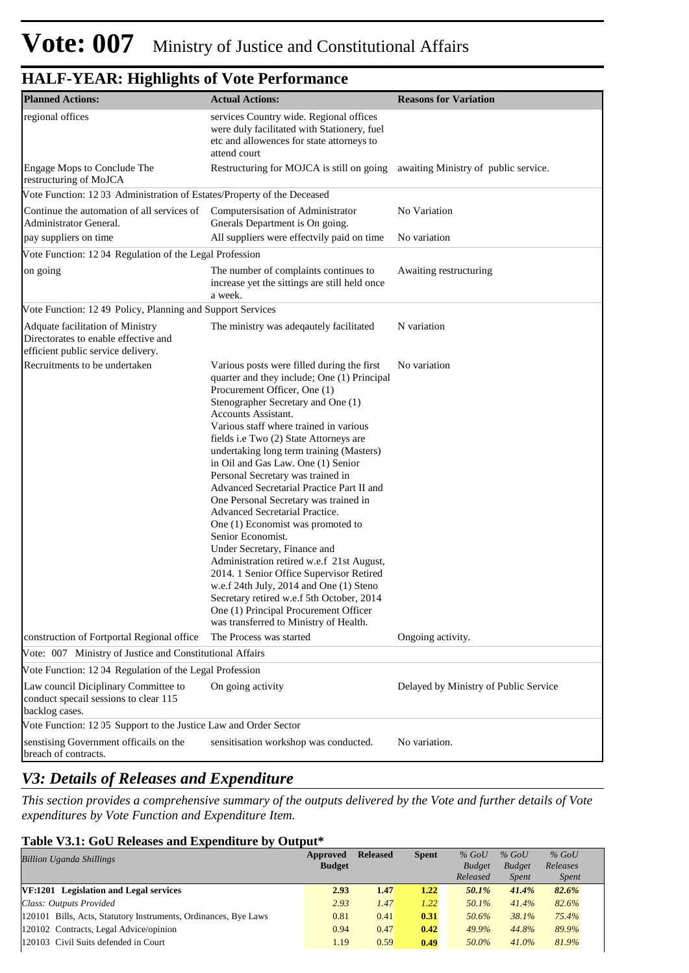| <b>Planned Actions:</b>                                                                                        | <b>Actual Actions:</b>                                                                                                                                                                                                                                                                                                                                                                                                                                                                                                                                                                                                                                                                                                                                                                                                                                                                         | <b>Reasons for Variation</b>          |
|----------------------------------------------------------------------------------------------------------------|------------------------------------------------------------------------------------------------------------------------------------------------------------------------------------------------------------------------------------------------------------------------------------------------------------------------------------------------------------------------------------------------------------------------------------------------------------------------------------------------------------------------------------------------------------------------------------------------------------------------------------------------------------------------------------------------------------------------------------------------------------------------------------------------------------------------------------------------------------------------------------------------|---------------------------------------|
| regional offices                                                                                               | services Country wide. Regional offices<br>were duly facilitated with Stationery, fuel<br>etc and allowences for state attorneys to<br>attend court                                                                                                                                                                                                                                                                                                                                                                                                                                                                                                                                                                                                                                                                                                                                            |                                       |
| Engage Mops to Conclude The<br>restructuring of MoJCA                                                          | Restructuring for MOJCA is still on going                                                                                                                                                                                                                                                                                                                                                                                                                                                                                                                                                                                                                                                                                                                                                                                                                                                      | awaiting Ministry of public service.  |
| Vote Function: 12 03 Administration of Estates/Property of the Deceased                                        |                                                                                                                                                                                                                                                                                                                                                                                                                                                                                                                                                                                                                                                                                                                                                                                                                                                                                                |                                       |
| Continue the automation of all services of<br>Administrator General.                                           | Computersisation of Administrator<br>Gnerals Department is On going.                                                                                                                                                                                                                                                                                                                                                                                                                                                                                                                                                                                                                                                                                                                                                                                                                           | No Variation                          |
| pay suppliers on time                                                                                          | All suppliers were effectvily paid on time                                                                                                                                                                                                                                                                                                                                                                                                                                                                                                                                                                                                                                                                                                                                                                                                                                                     | No variation                          |
| Vote Function: 12 04 Regulation of the Legal Profession                                                        |                                                                                                                                                                                                                                                                                                                                                                                                                                                                                                                                                                                                                                                                                                                                                                                                                                                                                                |                                       |
| on going                                                                                                       | The number of complaints continues to<br>increase yet the sittings are still held once<br>a week.                                                                                                                                                                                                                                                                                                                                                                                                                                                                                                                                                                                                                                                                                                                                                                                              | Awaiting restructuring                |
| Vote Function: 12 49 Policy, Planning and Support Services                                                     |                                                                                                                                                                                                                                                                                                                                                                                                                                                                                                                                                                                                                                                                                                                                                                                                                                                                                                |                                       |
| Adquate facilitation of Ministry<br>Directorates to enable effective and<br>efficient public service delivery. | The ministry was adeqautely facilitated                                                                                                                                                                                                                                                                                                                                                                                                                                                                                                                                                                                                                                                                                                                                                                                                                                                        | N variation                           |
| Recruitments to be undertaken                                                                                  | Various posts were filled during the first<br>quarter and they include; One (1) Principal<br>Procurement Officer, One (1)<br>Stenographer Secretary and One (1)<br><b>Accounts Assistant.</b><br>Various staff where trained in various<br>fields i.e Two (2) State Attorneys are<br>undertaking long term training (Masters)<br>in Oil and Gas Law. One (1) Senior<br>Personal Secretary was trained in<br>Advanced Secretarial Practice Part II and<br>One Personal Secretary was trained in<br>Advanced Secretarial Practice.<br>One (1) Economist was promoted to<br>Senior Economist.<br>Under Secretary, Finance and<br>Administration retired w.e.f 21st August,<br>2014. 1 Senior Office Supervisor Retired<br>w.e.f 24th July, 2014 and One (1) Steno<br>Secretary retired w.e.f 5th October, 2014<br>One (1) Principal Procurement Officer<br>was transferred to Ministry of Health. | No variation                          |
| construction of Fortportal Regional office                                                                     | The Process was started                                                                                                                                                                                                                                                                                                                                                                                                                                                                                                                                                                                                                                                                                                                                                                                                                                                                        | Ongoing activity.                     |
| Vote: 007 Ministry of Justice and Constitutional Affairs                                                       |                                                                                                                                                                                                                                                                                                                                                                                                                                                                                                                                                                                                                                                                                                                                                                                                                                                                                                |                                       |
| Vote Function: 12 04 Regulation of the Legal Profession                                                        |                                                                                                                                                                                                                                                                                                                                                                                                                                                                                                                                                                                                                                                                                                                                                                                                                                                                                                |                                       |
| Law council Diciplinary Committee to<br>conduct specall sessions to clear 115<br>backlog cases.                | On going activity                                                                                                                                                                                                                                                                                                                                                                                                                                                                                                                                                                                                                                                                                                                                                                                                                                                                              | Delayed by Ministry of Public Service |
| Vote Function: 12 05 Support to the Justice Law and Order Sector                                               |                                                                                                                                                                                                                                                                                                                                                                                                                                                                                                                                                                                                                                                                                                                                                                                                                                                                                                |                                       |
| senstising Government officails on the<br>breach of contracts.                                                 | sensitisation workshop was conducted.                                                                                                                                                                                                                                                                                                                                                                                                                                                                                                                                                                                                                                                                                                                                                                                                                                                          | No variation.                         |

### *V3: Details of Releases and Expenditure*

*This section provides a comprehensive summary of the outputs delivered by the Vote and further details of Vote expenditures by Vote Function and Expenditure Item.*

#### **Table V3.1: GoU Releases and Expenditure by Output\***

| <b>Billion Uganda Shillings</b>                                 | Approved      | <b>Released</b> | <b>Spent</b> | $%$ GoU       | $%$ GoU       | $%$ GoU      |  |
|-----------------------------------------------------------------|---------------|-----------------|--------------|---------------|---------------|--------------|--|
|                                                                 | <b>Budget</b> |                 |              | <b>Budget</b> | <b>Budget</b> | Releases     |  |
|                                                                 |               |                 |              | Released      | <i>Spent</i>  | <i>Spent</i> |  |
| VF:1201 Legislation and Legal services                          | 2.93          | 1.47            | 1.22         | 50.1%         | 41.4%         | 82.6%        |  |
| Class: Outputs Provided                                         | 2.93          | 1.47            | 1.22         | 50.1%         | 41.4%         | 82.6%        |  |
| 120101 Bills, Acts, Statutory Instruments, Ordinances, Bye Laws | 0.81          | 0.41            | 0.31         | 50.6%         | 38.1%         | 75.4%        |  |
| 120102 Contracts, Legal Advice/opinion                          | 0.94          | 0.47            | 0.42         | 49.9%         | 44.8%         | 89.9%        |  |
| 120103 Civil Suits defended in Court                            | 1.19          | 0.59            | 0.49         | 50.0%         | $41.0\%$      | 81.9%        |  |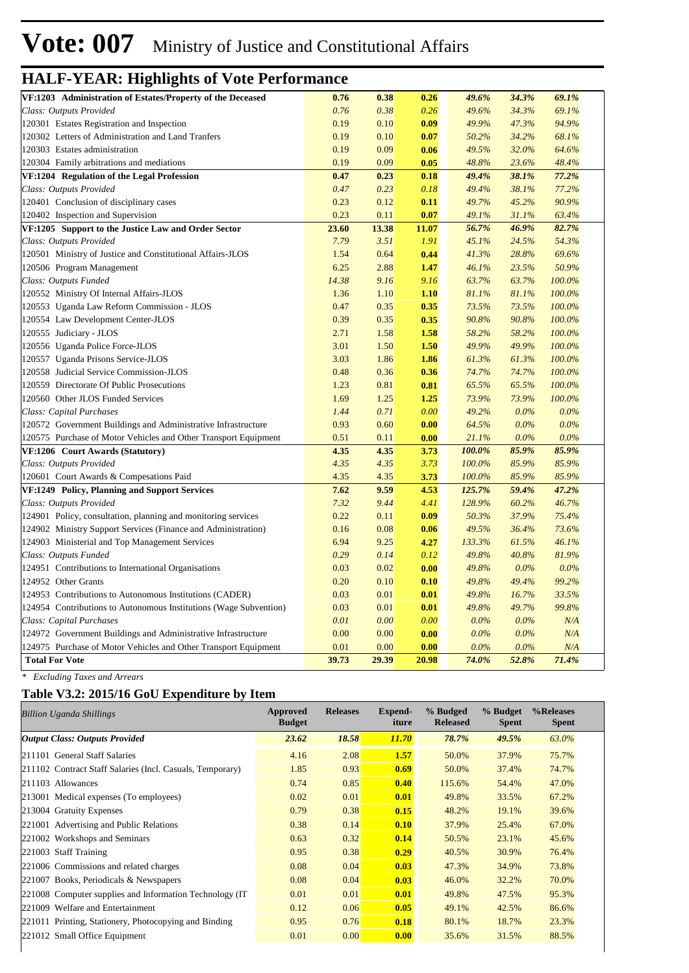| VF:1203 Administration of Estates/Property of the Deceased        | 0.76  | 0.38  | 0.26  | 49.6%   | 34.3%   | 69.1%   |  |
|-------------------------------------------------------------------|-------|-------|-------|---------|---------|---------|--|
| Class: Outputs Provided                                           | 0.76  | 0.38  | 0.26  | 49.6%   | 34.3%   | 69.1%   |  |
| 120301 Estates Registration and Inspection                        | 0.19  | 0.10  | 0.09  | 49.9%   | 47.3%   | 94.9%   |  |
| 120302 Letters of Administration and Land Tranfers                | 0.19  | 0.10  | 0.07  | 50.2%   | 34.2%   | 68.1%   |  |
| 120303 Estates administration                                     | 0.19  | 0.09  | 0.06  | 49.5%   | 32.0%   | 64.6%   |  |
| 120304 Family arbitrations and mediations                         | 0.19  | 0.09  | 0.05  | 48.8%   | 23.6%   | 48.4%   |  |
| VF:1204 Regulation of the Legal Profession                        | 0.47  | 0.23  | 0.18  | 49.4%   | 38.1%   | 77.2%   |  |
| Class: Outputs Provided                                           | 0.47  | 0.23  | 0.18  | 49.4%   | 38.1%   | 77.2%   |  |
| 120401 Conclusion of disciplinary cases                           | 0.23  | 0.12  | 0.11  | 49.7%   | 45.2%   | 90.9%   |  |
| 120402 Inspection and Supervision                                 | 0.23  | 0.11  | 0.07  | 49.1%   | 31.1%   | 63.4%   |  |
| VF:1205 Support to the Justice Law and Order Sector               | 23.60 | 13.38 | 11.07 | 56.7%   | 46.9%   | 82.7%   |  |
| Class: Outputs Provided                                           | 7.79  | 3.51  | 1.91  | 45.1%   | 24.5%   | 54.3%   |  |
| 120501 Ministry of Justice and Constitutional Affairs-JLOS        | 1.54  | 0.64  | 0.44  | 41.3%   | 28.8%   | 69.6%   |  |
| 120506 Program Management                                         | 6.25  | 2.88  | 1.47  | 46.1%   | 23.5%   | 50.9%   |  |
| Class: Outputs Funded                                             | 14.38 | 9.16  | 9.16  | 63.7%   | 63.7%   | 100.0%  |  |
| 120552 Ministry Of Internal Affairs-JLOS                          | 1.36  | 1.10  | 1.10  | 81.1%   | 81.1%   | 100.0%  |  |
| 120553 Uganda Law Reform Commission - JLOS                        | 0.47  | 0.35  | 0.35  | 73.5%   | 73.5%   | 100.0%  |  |
| 120554 Law Development Center-JLOS                                | 0.39  | 0.35  | 0.35  | 90.8%   | 90.8%   | 100.0%  |  |
| 120555 Judiciary - JLOS                                           | 2.71  | 1.58  | 1.58  | 58.2%   | 58.2%   | 100.0%  |  |
| 120556 Uganda Police Force-JLOS                                   | 3.01  | 1.50  | 1.50  | 49.9%   | 49.9%   | 100.0%  |  |
| 120557 Uganda Prisons Service-JLOS                                | 3.03  | 1.86  | 1.86  | 61.3%   | 61.3%   | 100.0%  |  |
| 120558 Judicial Service Commission-JLOS                           | 0.48  | 0.36  | 0.36  | 74.7%   | 74.7%   | 100.0%  |  |
| 120559 Directorate Of Public Prosecutions                         | 1.23  | 0.81  | 0.81  | 65.5%   | 65.5%   | 100.0%  |  |
| 120560 Other JLOS Funded Services                                 | 1.69  | 1.25  | 1.25  | 73.9%   | 73.9%   | 100.0%  |  |
| Class: Capital Purchases                                          | 1.44  | 0.71  | 0.00  | 49.2%   | $0.0\%$ | $0.0\%$ |  |
| 120572 Government Buildings and Administrative Infrastructure     | 0.93  | 0.60  | 0.00  | 64.5%   | $0.0\%$ | $0.0\%$ |  |
| 120575 Purchase of Motor Vehicles and Other Transport Equipment   | 0.51  | 0.11  | 0.00  | 21.1%   | $0.0\%$ | $0.0\%$ |  |
| VF:1206 Court Awards (Statutory)                                  | 4.35  | 4.35  | 3.73  | 100.0%  | 85.9%   | 85.9%   |  |
| Class: Outputs Provided                                           | 4.35  | 4.35  | 3.73  | 100.0%  | 85.9%   | 85.9%   |  |
| 120601 Court Awards & Compesations Paid                           | 4.35  | 4.35  | 3.73  | 100.0%  | 85.9%   | 85.9%   |  |
| VF:1249 Policy, Planning and Support Services                     | 7.62  | 9.59  | 4.53  | 125.7%  | 59.4%   | 47.2%   |  |
| Class: Outputs Provided                                           | 7.32  | 9.44  | 4.41  | 128.9%  | 60.2%   | 46.7%   |  |
| 124901 Policy, consultation, planning and monitoring services     | 0.22  | 0.11  | 0.09  | 50.3%   | 37.9%   | 75.4%   |  |
| 124902 Ministry Support Services (Finance and Administration)     | 0.16  | 0.08  | 0.06  | 49.5%   | 36.4%   | 73.6%   |  |
| 124903 Ministerial and Top Management Services                    | 6.94  | 9.25  | 4.27  | 133.3%  | 61.5%   | 46.1%   |  |
| Class: Outputs Funded                                             | 0.29  | 0.14  | 0.12  | 49.8%   | 40.8%   | 81.9%   |  |
| 124951 Contributions to International Organisations               | 0.03  | 0.02  | 0.00  | 49.8%   | $0.0\%$ | 0.0%    |  |
| 124952 Other Grants                                               | 0.20  | 0.10  | 0.10  | 49.8%   | 49.4%   | 99.2%   |  |
| 124953 Contributions to Autonomous Institutions (CADER)           | 0.03  | 0.01  | 0.01  | 49.8%   | 16.7%   | 33.5%   |  |
| 124954 Contributions to Autonomous Institutions (Wage Subvention) | 0.03  | 0.01  | 0.01  | 49.8%   | 49.7%   | 99.8%   |  |
| Class: Capital Purchases                                          | 0.01  | 0.00  | 0.00  | $0.0\%$ | $0.0\%$ | N/A     |  |
| 124972 Government Buildings and Administrative Infrastructure     | 0.00  | 0.00  | 0.00  | $0.0\%$ | $0.0\%$ | N/A     |  |
| 124975 Purchase of Motor Vehicles and Other Transport Equipment   | 0.01  | 0.00  | 0.00  | $0.0\%$ | $0.0\%$ | N/A     |  |
| <b>Total For Vote</b>                                             | 39.73 | 29.39 | 20.98 | 74.0%   | 52.8%   | 71.4%   |  |

*\* Excluding Taxes and Arrears*

#### **Table V3.2: 2015/16 GoU Expenditure by Item**

| Billion Uganda Shillings                                  | Approved<br><b>Budget</b> | <b>Releases</b> | Expend-<br>iture | % Budged<br><b>Released</b> | % Budget<br><b>Spent</b> | %Releases<br><b>Spent</b> |
|-----------------------------------------------------------|---------------------------|-----------------|------------------|-----------------------------|--------------------------|---------------------------|
| <b>Output Class: Outputs Provided</b>                     | 23.62                     | 18.58           | <b>11.70</b>     | 78.7%                       | 49.5%                    | 63.0%                     |
| 211101 General Staff Salaries                             | 4.16                      | 2.08            | 1.57             | 50.0%                       | 37.9%                    | 75.7%                     |
| 211102 Contract Staff Salaries (Incl. Casuals, Temporary) | 1.85                      | 0.93            | 0.69             | 50.0%                       | 37.4%                    | 74.7%                     |
| 211103 Allowances                                         | 0.74                      | 0.85            | 0.40             | 115.6%                      | 54.4%                    | 47.0%                     |
| 213001 Medical expenses (To employees)                    | 0.02                      | 0.01            | 0.01             | 49.8%                       | 33.5%                    | 67.2%                     |
| 213004 Gratuity Expenses                                  | 0.79                      | 0.38            | 0.15             | 48.2%                       | 19.1%                    | 39.6%                     |
| 221001 Advertising and Public Relations                   | 0.38                      | 0.14            | 0.10             | 37.9%                       | 25.4%                    | 67.0%                     |
| 221002 Workshops and Seminars                             | 0.63                      | 0.32            | 0.14             | 50.5%                       | 23.1%                    | 45.6%                     |
| 221003 Staff Training                                     | 0.95                      | 0.38            | 0.29             | 40.5%                       | 30.9%                    | 76.4%                     |
| 221006 Commissions and related charges                    | 0.08                      | 0.04            | 0.03             | 47.3%                       | 34.9%                    | 73.8%                     |
| 221007 Books, Periodicals & Newspapers                    | 0.08                      | 0.04            | 0.03             | 46.0%                       | 32.2%                    | 70.0%                     |
| 221008 Computer supplies and Information Technology (IT)  | 0.01                      | 0.01            | 0.01             | 49.8%                       | 47.5%                    | 95.3%                     |
| 221009 Welfare and Entertainment                          | 0.12                      | 0.06            | 0.05             | 49.1%                       | 42.5%                    | 86.6%                     |
| 221011 Printing, Stationery, Photocopying and Binding     | 0.95                      | 0.76            | 0.18             | 80.1%                       | 18.7%                    | 23.3%                     |
| 221012 Small Office Equipment                             | 0.01                      | 0.00            | 0.00             | 35.6%                       | 31.5%                    | 88.5%                     |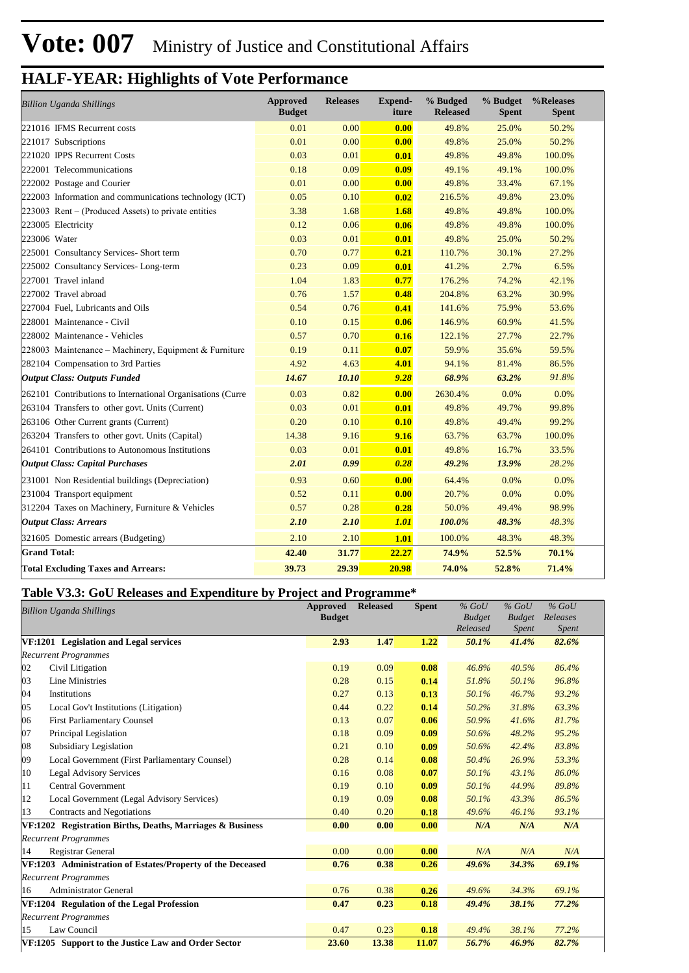| <b>Billion Uganda Shillings</b>                            | <b>Approved</b><br><b>Budget</b> | <b>Releases</b> | Expend-<br>iture | % Budged<br><b>Released</b> | % Budget<br><b>Spent</b> | %Releases<br><b>Spent</b> |
|------------------------------------------------------------|----------------------------------|-----------------|------------------|-----------------------------|--------------------------|---------------------------|
| 221016 IFMS Recurrent costs                                | 0.01                             | 0.00            | 0.00             | 49.8%                       | 25.0%                    | 50.2%                     |
| 221017 Subscriptions                                       | 0.01                             | 0.00            | 0.00             | 49.8%                       | 25.0%                    | 50.2%                     |
| 221020 IPPS Recurrent Costs                                | 0.03                             | 0.01            | 0.01             | 49.8%                       | 49.8%                    | 100.0%                    |
| 222001 Telecommunications                                  | 0.18                             | 0.09            | 0.09             | 49.1%                       | 49.1%                    | 100.0%                    |
| 222002 Postage and Courier                                 | 0.01                             | 0.00            | 0.00             | 49.8%                       | 33.4%                    | 67.1%                     |
| 222003 Information and communications technology (ICT)     | 0.05                             | 0.10            | 0.02             | 216.5%                      | 49.8%                    | 23.0%                     |
| 223003 Rent – (Produced Assets) to private entities        | 3.38                             | 1.68            | 1.68             | 49.8%                       | 49.8%                    | 100.0%                    |
| 223005 Electricity                                         | 0.12                             | 0.06            | 0.06             | 49.8%                       | 49.8%                    | 100.0%                    |
| 223006 Water                                               | 0.03                             | 0.01            | 0.01             | 49.8%                       | 25.0%                    | 50.2%                     |
| 225001 Consultancy Services- Short term                    | 0.70                             | 0.77            | 0.21             | 110.7%                      | 30.1%                    | 27.2%                     |
| 225002 Consultancy Services-Long-term                      | 0.23                             | 0.09            | 0.01             | 41.2%                       | 2.7%                     | 6.5%                      |
| 227001 Travel inland                                       | 1.04                             | 1.83            | 0.77             | 176.2%                      | 74.2%                    | 42.1%                     |
| 227002 Travel abroad                                       | 0.76                             | 1.57            | 0.48             | 204.8%                      | 63.2%                    | 30.9%                     |
| 227004 Fuel, Lubricants and Oils                           | 0.54                             | 0.76            | 0.41             | 141.6%                      | 75.9%                    | 53.6%                     |
| 228001 Maintenance - Civil                                 | 0.10                             | 0.15            | 0.06             | 146.9%                      | 60.9%                    | 41.5%                     |
| 228002 Maintenance - Vehicles                              | 0.57                             | 0.70            | 0.16             | 122.1%                      | 27.7%                    | 22.7%                     |
| 228003 Maintenance – Machinery, Equipment & Furniture      | 0.19                             | 0.11            | 0.07             | 59.9%                       | 35.6%                    | 59.5%                     |
| 282104 Compensation to 3rd Parties                         | 4.92                             | 4.63            | 4.01             | 94.1%                       | 81.4%                    | 86.5%                     |
| <b>Output Class: Outputs Funded</b>                        | 14.67                            | 10.10           | 9.28             | 68.9%                       | 63.2%                    | 91.8%                     |
| 262101 Contributions to International Organisations (Curre | 0.03                             | 0.82            | 0.00             | 2630.4%                     | 0.0%                     | 0.0%                      |
| 263104 Transfers to other govt. Units (Current)            | 0.03                             | 0.01            | 0.01             | 49.8%                       | 49.7%                    | 99.8%                     |
| 263106 Other Current grants (Current)                      | 0.20                             | 0.10            | 0.10             | 49.8%                       | 49.4%                    | 99.2%                     |
| 263204 Transfers to other govt. Units (Capital)            | 14.38                            | 9.16            | 9.16             | 63.7%                       | 63.7%                    | 100.0%                    |
| 264101 Contributions to Autonomous Institutions            | 0.03                             | 0.01            | 0.01             | 49.8%                       | 16.7%                    | 33.5%                     |
| <b>Output Class: Capital Purchases</b>                     | 2.01                             | 0.99            | 0.28             | 49.2%                       | 13.9%                    | 28.2%                     |
| 231001 Non Residential buildings (Depreciation)            | 0.93                             | 0.60            | 0.00             | 64.4%                       | 0.0%                     | 0.0%                      |
| 231004 Transport equipment                                 | 0.52                             | 0.11            | 0.00             | 20.7%                       | 0.0%                     | 0.0%                      |
| 312204 Taxes on Machinery, Furniture & Vehicles            | 0.57                             | 0.28            | 0.28             | 50.0%                       | 49.4%                    | 98.9%                     |
| <b>Output Class: Arrears</b>                               | 2.10                             | 2.10            | <b>1.01</b>      | 100.0%                      | 48.3%                    | 48.3%                     |
| 321605 Domestic arrears (Budgeting)                        | 2.10                             | 2.10            | 1.01             | 100.0%                      | 48.3%                    | 48.3%                     |
| <b>Grand Total:</b>                                        | 42.40                            | 31.77           | 22.27            | 74.9%                       | 52.5%                    | 70.1%                     |
| <b>Total Excluding Taxes and Arrears:</b>                  | 39.73                            | 29.39           | 20.98            | 74.0%                       | 52.8%                    | 71.4%                     |

#### **Table V3.3: GoU Releases and Expenditure by Project and Programme\***

|    | <b>Billion Uganda Shillings</b>                            | <b>Approved</b><br><b>Budget</b> | <b>Released</b> | <b>Spent</b> | $%$ GoU<br><b>Budget</b><br>Released | $%$ GoU<br><b>Budget</b><br><i>Spent</i> | $%$ GoU<br>Releases<br><i>Spent</i> |  |
|----|------------------------------------------------------------|----------------------------------|-----------------|--------------|--------------------------------------|------------------------------------------|-------------------------------------|--|
|    | VF:1201 Legislation and Legal services                     | 2.93                             | 1.47            | 1.22         | 50.1%                                | 41.4%                                    | 82.6%                               |  |
|    | <b>Recurrent Programmes</b>                                |                                  |                 |              |                                      |                                          |                                     |  |
| 02 | Civil Litigation                                           | 0.19                             | 0.09            | 0.08         | 46.8%                                | 40.5%                                    | 86.4%                               |  |
| 03 | <b>Line Ministries</b>                                     | 0.28                             | 0.15            | 0.14         | 51.8%                                | 50.1%                                    | 96.8%                               |  |
| 04 | Institutions                                               | 0.27                             | 0.13            | 0.13         | 50.1%                                | 46.7%                                    | 93.2%                               |  |
| 05 | Local Gov't Institutions (Litigation)                      | 0.44                             | 0.22            | 0.14         | 50.2%                                | 31.8%                                    | 63.3%                               |  |
| 06 | <b>First Parliamentary Counsel</b>                         | 0.13                             | 0.07            | 0.06         | 50.9%                                | 41.6%                                    | 81.7%                               |  |
| 07 | Principal Legislation                                      | 0.18                             | 0.09            | 0.09         | 50.6%                                | 48.2%                                    | 95.2%                               |  |
| 08 | Subsidiary Legislation                                     | 0.21                             | 0.10            | 0.09         | 50.6%                                | 42.4%                                    | 83.8%                               |  |
| 09 | Local Government (First Parliamentary Counsel)             | 0.28                             | 0.14            | 0.08         | 50.4%                                | 26.9%                                    | 53.3%                               |  |
| 10 | <b>Legal Advisory Services</b>                             | 0.16                             | 0.08            | 0.07         | 50.1%                                | 43.1%                                    | 86.0%                               |  |
| 11 | Central Government                                         | 0.19                             | 0.10            | 0.09         | 50.1%                                | 44.9%                                    | 89.8%                               |  |
| 12 | Local Government (Legal Advisory Services)                 | 0.19                             | 0.09            | 0.08         | 50.1%                                | 43.3%                                    | 86.5%                               |  |
| 13 | Contracts and Negotiations                                 | 0.40                             | 0.20            | 0.18         | 49.6%                                | 46.1%                                    | 93.1%                               |  |
|    | VF:1202 Registration Births, Deaths, Marriages & Business  | 0.00                             | 0.00            | 0.00         | N/A                                  | N/A                                      | N/A                                 |  |
|    | <b>Recurrent Programmes</b>                                |                                  |                 |              |                                      |                                          |                                     |  |
| 14 | Registrar General                                          | 0.00                             | 0.00            | 0.00         | N/A                                  | N/A                                      | N/A                                 |  |
|    | VF:1203 Administration of Estates/Property of the Deceased | 0.76                             | 0.38            | 0.26         | 49.6%                                | 34.3%                                    | 69.1%                               |  |
|    | <b>Recurrent Programmes</b>                                |                                  |                 |              |                                      |                                          |                                     |  |
| 16 | <b>Administrator General</b>                               | 0.76                             | 0.38            | 0.26         | 49.6%                                | 34.3%                                    | 69.1%                               |  |
|    | VF:1204 Regulation of the Legal Profession                 | 0.47                             | 0.23            | 0.18         | 49.4%                                | 38.1%                                    | 77.2%                               |  |
|    | <b>Recurrent Programmes</b>                                |                                  |                 |              |                                      |                                          |                                     |  |
| 15 | Law Council                                                | 0.47                             | 0.23            | 0.18         | 49.4%                                | 38.1%                                    | 77.2%                               |  |
|    | VF:1205 Support to the Justice Law and Order Sector        | 23.60                            | 13.38           | 11.07        | 56.7%                                | 46.9%                                    | 82.7%                               |  |